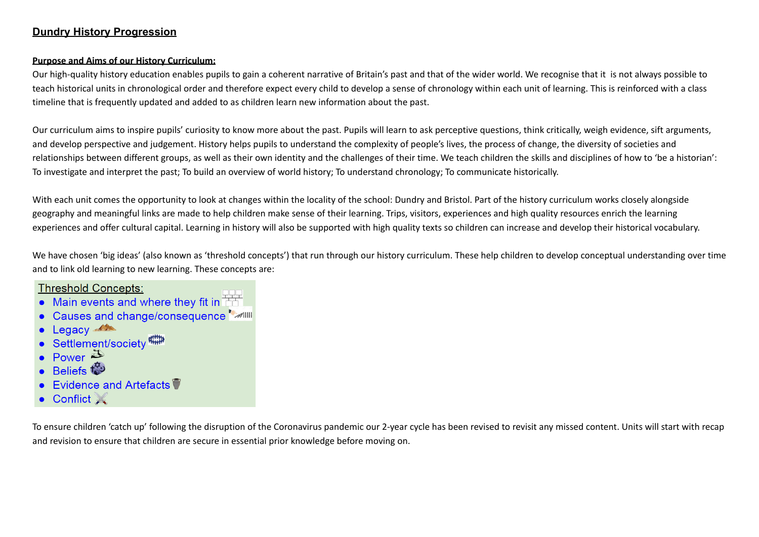# **Dundry History Progression**

### **Purpose and Aims of our History Curriculum:**

Our high-quality history education enables pupils to gain a coherent narrative of Britain's past and that of the wider world. We recognise that it is not always possible to teach historical units in chronological order and therefore expect every child to develop a sense of chronology within each unit of learning. This is reinforced with a class timeline that is frequently updated and added to as children learn new information about the past.

Our curriculum aims to inspire pupils' curiosity to know more about the past. Pupils will learn to ask perceptive questions, think critically, weigh evidence, sift arguments, and develop perspective and judgement. History helps pupils to understand the complexity of people's lives, the process of change, the diversity of societies and relationships between different groups, as well as their own identity and the challenges of their time. We teach children the skills and disciplines of how to 'be a historian': To investigate and interpret the past; To build an overview of world history; To understand chronology; To communicate historically.

With each unit comes the opportunity to look at changes within the locality of the school: Dundry and Bristol. Part of the history curriculum works closely alongside geography and meaningful links are made to help children make sense of their learning. Trips, visitors, experiences and high quality resources enrich the learning experiences and offer cultural capital. Learning in history will also be supported with high quality texts so children can increase and develop their historical vocabulary.

We have chosen 'big ideas' (also known as 'threshold concepts') that run through our history curriculum. These help children to develop conceptual understanding over time and to link old learning to new learning. These concepts are:

# **Threshold Concepts:**

- Main events and where they fit in  $\overline{++}$
- Causes and change/consequence Mill
- Legacy
- Settlement/society
- Power  $\ddot{\mathbf{\Sigma}}$
- $\overline{\mathsf{B}}$ eliefs  $\mathsf{t}^\mathfrak{P}_\bullet$
- Evidence and Artefacts ♥
- Conflict X

To ensure children 'catch up' following the disruption of the Coronavirus pandemic our 2-year cycle has been revised to revisit any missed content. Units will start with recap and revision to ensure that children are secure in essential prior knowledge before moving on.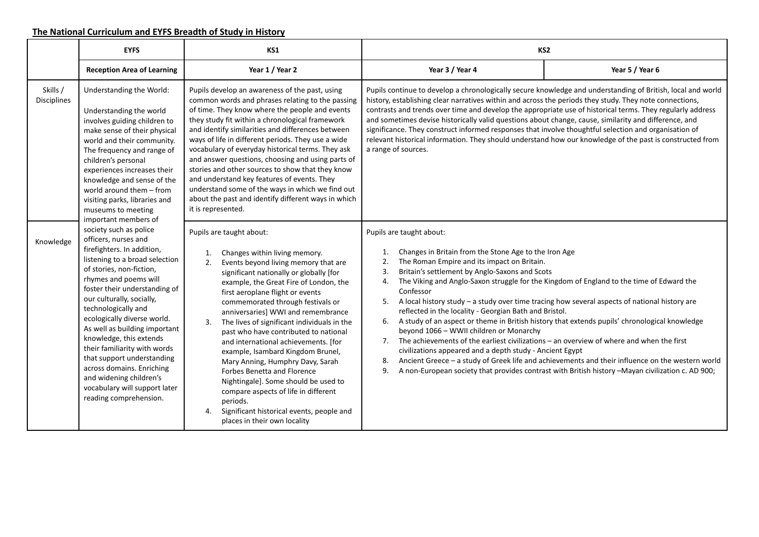### **The National Curriculum and EYFS Breadth of Study in History**

|                                | <b>EYFS</b><br>KS1                                                                                                                                                                                                                                                                                                                                                                                                                                                                                                                                           |                                                                                                                                                                                                                                                                                                                                                                                                                                                                                                                                                                                                                                                                                                                                                       |                                                                                                                                                                                                                                                                                                                                                                                                                                                                                                                                                                             | KS <sub>2</sub>                                                                                                                                                                                                                                                                                                                                                                                                                                                                                     |
|--------------------------------|--------------------------------------------------------------------------------------------------------------------------------------------------------------------------------------------------------------------------------------------------------------------------------------------------------------------------------------------------------------------------------------------------------------------------------------------------------------------------------------------------------------------------------------------------------------|-------------------------------------------------------------------------------------------------------------------------------------------------------------------------------------------------------------------------------------------------------------------------------------------------------------------------------------------------------------------------------------------------------------------------------------------------------------------------------------------------------------------------------------------------------------------------------------------------------------------------------------------------------------------------------------------------------------------------------------------------------|-----------------------------------------------------------------------------------------------------------------------------------------------------------------------------------------------------------------------------------------------------------------------------------------------------------------------------------------------------------------------------------------------------------------------------------------------------------------------------------------------------------------------------------------------------------------------------|-----------------------------------------------------------------------------------------------------------------------------------------------------------------------------------------------------------------------------------------------------------------------------------------------------------------------------------------------------------------------------------------------------------------------------------------------------------------------------------------------------|
|                                | <b>Reception Area of Learning</b>                                                                                                                                                                                                                                                                                                                                                                                                                                                                                                                            | Year 1 / Year 2                                                                                                                                                                                                                                                                                                                                                                                                                                                                                                                                                                                                                                                                                                                                       | Year 3 / Year 4                                                                                                                                                                                                                                                                                                                                                                                                                                                                                                                                                             | Year 5 / Year 6                                                                                                                                                                                                                                                                                                                                                                                                                                                                                     |
| Skills /<br><b>Disciplines</b> | Understanding the World:<br>Understanding the world<br>involves guiding children to<br>make sense of their physical<br>world and their community.<br>The frequency and range of<br>children's personal<br>experiences increases their<br>knowledge and sense of the<br>world around them - from<br>visiting parks, libraries and<br>museums to meeting                                                                                                                                                                                                       | Pupils develop an awareness of the past, using<br>common words and phrases relating to the passing<br>of time. They know where the people and events<br>they study fit within a chronological framework<br>and identify similarities and differences between<br>ways of life in different periods. They use a wide<br>vocabulary of everyday historical terms. They ask<br>and answer questions, choosing and using parts of<br>stories and other sources to show that they know<br>and understand key features of events. They<br>understand some of the ways in which we find out<br>about the past and identify different ways in which<br>it is represented.                                                                                      | history, establishing clear narratives within and across the periods they study. They note connections,<br>contrasts and trends over time and develop the appropriate use of historical terms. They regularly address<br>and sometimes devise historically valid questions about change, cause, similarity and difference, and<br>significance. They construct informed responses that involve thoughtful selection and organisation of<br>relevant historical information. They should understand how our knowledge of the past is constructed from<br>a range of sources. | Pupils continue to develop a chronologically secure knowledge and understanding of British, local and world                                                                                                                                                                                                                                                                                                                                                                                         |
| Knowledge                      | important members of<br>society such as police<br>officers, nurses and<br>firefighters. In addition,<br>listening to a broad selection<br>of stories, non-fiction,<br>rhymes and poems will<br>foster their understanding of<br>our culturally, socially,<br>technologically and<br>ecologically diverse world.<br>As well as building important<br>knowledge, this extends<br>their familiarity with words<br>that support understanding<br>across domains. Enriching<br>and widening children's<br>vocabulary will support later<br>reading comprehension. | Pupils are taught about:<br>Changes within living memory.<br>1.<br>Events beyond living memory that are<br>2.<br>significant nationally or globally [for<br>example, the Great Fire of London, the<br>first aeroplane flight or events<br>commemorated through festivals or<br>anniversaries] WWI and remembrance<br>The lives of significant individuals in the<br>3.<br>past who have contributed to national<br>and international achievements. [for<br>example, Isambard Kingdom Brunel,<br>Mary Anning, Humphry Davy, Sarah<br><b>Forbes Benetta and Florence</b><br>Nightingale]. Some should be used to<br>compare aspects of life in different<br>periods.<br>Significant historical events, people and<br>4.<br>places in their own locality | Pupils are taught about:<br>Changes in Britain from the Stone Age to the Iron Age<br>1.<br>The Roman Empire and its impact on Britain.<br>2.<br>Britain's settlement by Anglo-Saxons and Scots<br>3.<br>4.<br>Confessor<br>5.<br>reflected in the locality - Georgian Bath and Bristol.<br>6.<br>beyond 1066 - WWII children or Monarchy<br>The achievements of the earliest civilizations - an overview of where and when the first<br>7.<br>civilizations appeared and a depth study - Ancient Egypt<br>8.<br>9.                                                          | The Viking and Anglo-Saxon struggle for the Kingdom of England to the time of Edward the<br>A local history study - a study over time tracing how several aspects of national history are<br>A study of an aspect or theme in British history that extends pupils' chronological knowledge<br>Ancient Greece - a study of Greek life and achievements and their influence on the western world<br>A non-European society that provides contrast with British history -Mayan civilization c. AD 900; |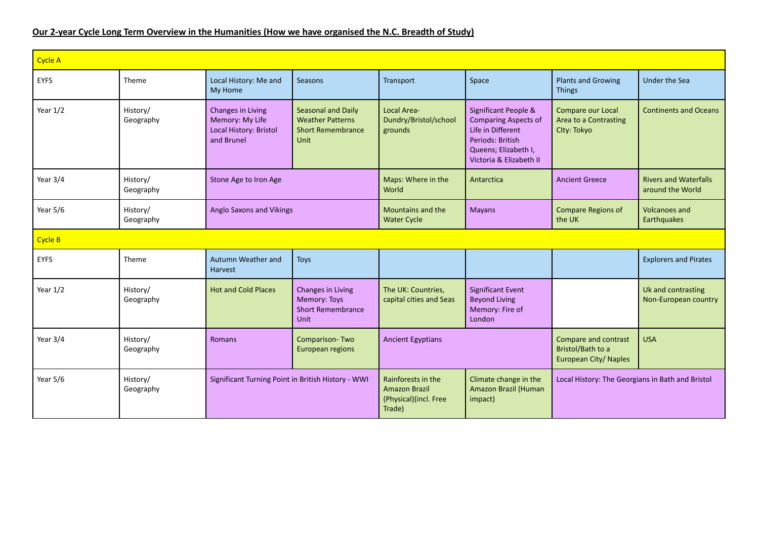## Our 2-year Cycle Long Term Overview in the Humanities (How we have organised the N.C. Breadth of Study)

| <b>Cycle A</b> |                       |                                                                              |                                                                                          |                                                                               |                                                                                                                                                 |                                                                    |                                                  |
|----------------|-----------------------|------------------------------------------------------------------------------|------------------------------------------------------------------------------------------|-------------------------------------------------------------------------------|-------------------------------------------------------------------------------------------------------------------------------------------------|--------------------------------------------------------------------|--------------------------------------------------|
| <b>EYFS</b>    | Theme                 | Local History: Me and<br>My Home                                             | Seasons                                                                                  | Transport                                                                     | Space                                                                                                                                           | <b>Plants and Growing</b><br><b>Things</b>                         | Under the Sea                                    |
| Year $1/2$     | History/<br>Geography | Changes in Living<br>Memory: My Life<br>Local History: Bristol<br>and Brunel | Seasonal and Daily<br><b>Weather Patterns</b><br><b>Short Remembrance</b><br><b>Unit</b> | <b>Local Area-</b><br>Dundry/Bristol/school<br>grounds                        | Significant People &<br><b>Comparing Aspects of</b><br>Life in Different<br>Periods: British<br>Queens; Elizabeth I,<br>Victoria & Elizabeth II | Compare our Local<br>Area to a Contrasting<br>Clty: Tokyo          | <b>Continents and Oceans</b>                     |
| Year 3/4       | History/<br>Geography | Stone Age to Iron Age                                                        |                                                                                          | Maps: Where in the<br>World                                                   | Antarctica                                                                                                                                      | <b>Ancient Greece</b>                                              | <b>Rivers and Waterfalls</b><br>around the World |
| Year 5/6       | History/<br>Geography | <b>Anglo Saxons and Vikings</b>                                              |                                                                                          | Mountains and the<br><b>Water Cycle</b>                                       | <b>Mayans</b>                                                                                                                                   | <b>Compare Regions of</b><br>the UK                                | <b>Volcanoes and</b><br>Earthquakes              |
| Cycle B        |                       |                                                                              |                                                                                          |                                                                               |                                                                                                                                                 |                                                                    |                                                  |
| <b>EYFS</b>    | Theme                 | Autumn Weather and<br>Harvest                                                | <b>Toys</b>                                                                              |                                                                               |                                                                                                                                                 |                                                                    | <b>Explorers and Pirates</b>                     |
| Year $1/2$     | History/<br>Geography | <b>Hot and Cold Places</b>                                                   | Changes in Living<br>Memory: Toys<br><b>Short Remembrance</b><br><b>Unit</b>             | The UK: Countries,<br>capital cities and Seas                                 | <b>Significant Event</b><br><b>Beyond Living</b><br>Memory: Fire of<br>London                                                                   |                                                                    | Uk and contrasting<br>Non-European country       |
| Year 3/4       | History/<br>Geography | Romans                                                                       | Comparison-Two<br><b>European regions</b>                                                | <b>Ancient Egyptians</b>                                                      |                                                                                                                                                 | Compare and contrast<br>Bristol/Bath to a<br>European City/ Naples | <b>USA</b>                                       |
| Year $5/6$     | History/<br>Geography | Significant Turning Point in British History - WWI                           |                                                                                          | Rainforests in the<br><b>Amazon Brazil</b><br>(Physical)(incl. Free<br>Trade) | Climate change in the<br><b>Amazon Brazil (Human</b><br>impact)                                                                                 | Local History: The Georgians in Bath and Bristol                   |                                                  |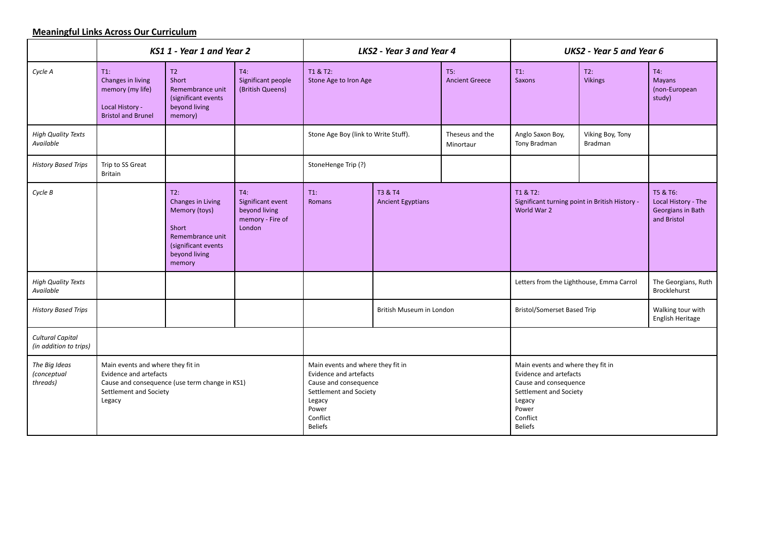## **Meaningful Links Across Our Curriculum**

|                                                   | KS1 1 - Year 1 and Year 2                                                                       |                                                                                                                          |                                                                         | LKS2 - Year 3 and Year 4                                                                                                                                        |                                     |                              | <b>UKS2 - Year 5 and Year 6</b>                                                                                                                                 |                             |                                                                     |
|---------------------------------------------------|-------------------------------------------------------------------------------------------------|--------------------------------------------------------------------------------------------------------------------------|-------------------------------------------------------------------------|-----------------------------------------------------------------------------------------------------------------------------------------------------------------|-------------------------------------|------------------------------|-----------------------------------------------------------------------------------------------------------------------------------------------------------------|-----------------------------|---------------------------------------------------------------------|
| Cycle A                                           | $T1$ :<br>Changes in living<br>memory (my life)<br>Local History -<br><b>Bristol and Brunel</b> | T2<br>Short<br>Remembrance unit<br>(significant events<br>beyond living<br>memory)                                       | T4:<br>Significant people<br>(British Queens)                           | T1 & T2:<br>Stone Age to Iron Age                                                                                                                               |                                     | T5:<br><b>Ancient Greece</b> | $T1$ :<br>Saxons                                                                                                                                                | T2:<br><b>Vikings</b>       | T4:<br>Mayans<br>(non-European<br>study)                            |
| <b>High Quality Texts</b><br>Available            |                                                                                                 |                                                                                                                          |                                                                         | Stone Age Boy (link to Write Stuff).                                                                                                                            |                                     | Theseus and the<br>Minortaur | Anglo Saxon Boy,<br>Tony Bradman                                                                                                                                | Viking Boy, Tony<br>Bradman |                                                                     |
| <b>History Based Trips</b>                        | Trip to SS Great<br><b>Britain</b>                                                              |                                                                                                                          |                                                                         | StoneHenge Trip (?)                                                                                                                                             |                                     |                              |                                                                                                                                                                 |                             |                                                                     |
| Cycle B                                           |                                                                                                 | T2:<br>Changes in Living<br>Memory (toys)<br>Short<br>Remembrance unit<br>(significant events<br>beyond living<br>memory | T4:<br>Significant event<br>beyond living<br>memory - Fire of<br>London | $T1$ :<br>Romans                                                                                                                                                | T3 & T4<br><b>Ancient Egyptians</b> |                              | T1 & T2:<br>Significant turning point in British History -<br>World War 2                                                                                       |                             | T5 & T6:<br>Local History - The<br>Georgians in Bath<br>and Bristol |
| <b>High Quality Texts</b><br>Available            |                                                                                                 |                                                                                                                          |                                                                         |                                                                                                                                                                 |                                     |                              | Letters from the Lighthouse, Emma Carrol                                                                                                                        |                             | The Georgians, Ruth<br>Brocklehurst                                 |
| <b>History Based Trips</b>                        |                                                                                                 |                                                                                                                          |                                                                         |                                                                                                                                                                 | British Museum in London            |                              | <b>Bristol/Somerset Based Trip</b>                                                                                                                              |                             | Walking tour with<br>English Heritage                               |
| <b>Cultural Capital</b><br>(in addition to trips) |                                                                                                 |                                                                                                                          |                                                                         |                                                                                                                                                                 |                                     |                              |                                                                                                                                                                 |                             |                                                                     |
| The Big Ideas<br>(conceptual<br>threads)          | Main events and where they fit in<br>Evidence and artefacts<br>Settlement and Society<br>Legacy | Cause and consequence (use term change in KS1)                                                                           |                                                                         | Main events and where they fit in<br>Evidence and artefacts<br>Cause and consequence<br>Settlement and Society<br>Legacy<br>Power<br>Conflict<br><b>Beliefs</b> |                                     |                              | Main events and where they fit in<br>Evidence and artefacts<br>Cause and consequence<br>Settlement and Society<br>Legacy<br>Power<br>Conflict<br><b>Beliefs</b> |                             |                                                                     |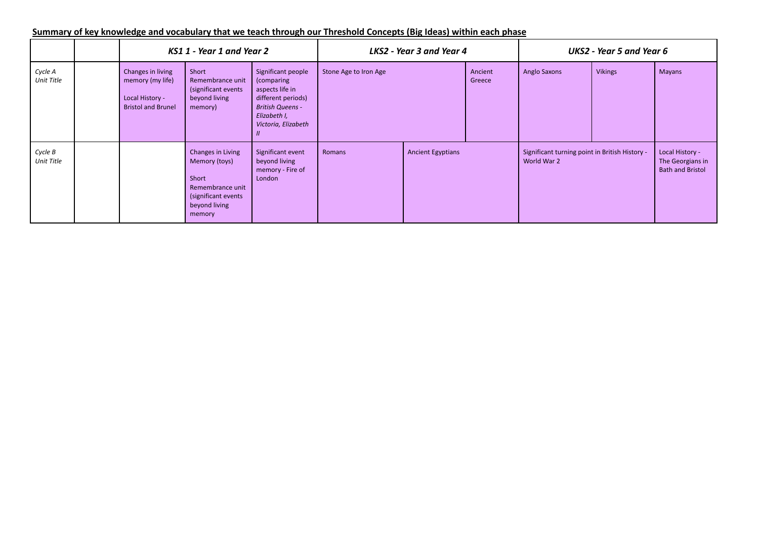|                              |                                                                                       | KS1 1 - Year 1 and Year 2                                                                                         |                                                                                                                                             |                       | LKS2 - Year 3 and Year 4 |                   |                                                               | UKS2 - Year 5 and Year 6 |                                                                |
|------------------------------|---------------------------------------------------------------------------------------|-------------------------------------------------------------------------------------------------------------------|---------------------------------------------------------------------------------------------------------------------------------------------|-----------------------|--------------------------|-------------------|---------------------------------------------------------------|--------------------------|----------------------------------------------------------------|
| Cycle A<br><b>Unit Title</b> | Changes in living<br>memory (my life)<br>Local History -<br><b>Bristol and Brunel</b> | Short<br>Remembrance unit<br>(significant events<br>beyond living<br>memory)                                      | Significant people<br>(comparing<br>aspects life in<br>different periods)<br><b>British Queens -</b><br>Elizabeth I,<br>Victoria, Elizabeth | Stone Age to Iron Age |                          | Ancient<br>Greece | <b>Anglo Saxons</b>                                           | <b>Vikings</b>           | <b>Mayans</b>                                                  |
| Cycle B<br><b>Unit Title</b> |                                                                                       | Changes in Living<br>Memory (toys)<br>Short<br>Remembrance unit<br>(significant events<br>beyond living<br>memory | Significant event<br>beyond living<br>memory - Fire of<br>London                                                                            | Romans                | <b>Ancient Egyptians</b> |                   | Significant turning point in British History -<br>World War 2 |                          | Local History -<br>The Georgians in<br><b>Bath and Bristol</b> |

## Summary of key knowledge and vocabulary that we teach through our Threshold Concepts (Big Ideas) within each phase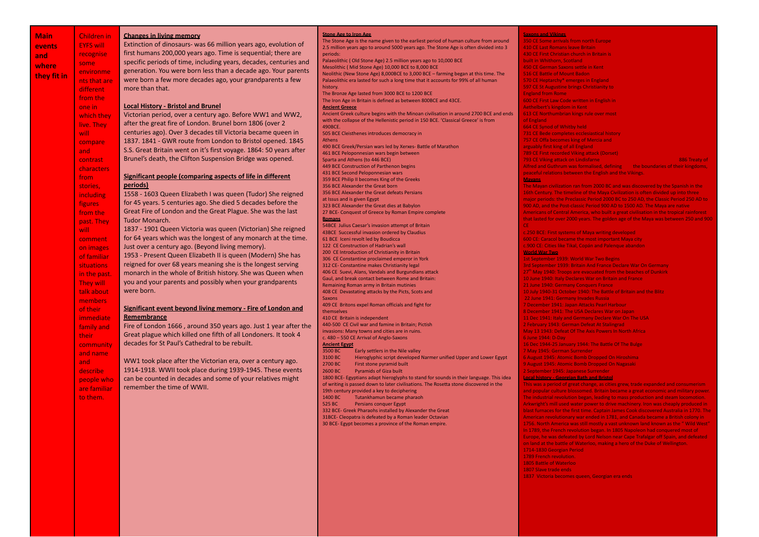| Main        | <b>Children</b> in | <b>Changes in living memory</b>                                    | <b>Stone Age to Iron Age</b>                                                                                          | <b>Saxons and Vikings</b>                                                                                                                                             |
|-------------|--------------------|--------------------------------------------------------------------|-----------------------------------------------------------------------------------------------------------------------|-----------------------------------------------------------------------------------------------------------------------------------------------------------------------|
|             | <b>EYFS will</b>   | Extinction of dinosaurs- was 66 million years ago, evolution of    | The Stone Age is the name given to the earliest period of human culture from around                                   | 350 CE Some arrivals from north Europe                                                                                                                                |
| events      |                    | first humans 200,000 years ago. Time is sequential; there are      | 2.5 million years ago to around 5000 years ago. The Stone Age is often divided into 3                                 | 410 CE Last Romans leave Britain                                                                                                                                      |
| and         | recognise          |                                                                    | neriods:<br>Palaeolithic (Old Stone Age) 2.5 million years ago to 10,000 BCE                                          | 430 CE First Christian church in Britain is<br>built in Whithorn, Scotland                                                                                            |
| where       | some               | specific periods of time, including years, decades, centuries and  | Mesolithic (Mid Stone Age) 10,000 BCE to 8,000 BCE                                                                    | 450 CE German Saxons settle in Kent                                                                                                                                   |
|             | environme          | generation. You were born less than a decade ago. Your parents     | Neolithic (New Stone Age) 8,000BCE to 3,000 BCE - farming began at this time. The                                     | 516 CE Battle of Mount Badon                                                                                                                                          |
| they fit in | nts that are       | were born a few more decades ago, your grandparents a few          | Palaeolithic era lasted for such a long time that it accounts for 99% of all human                                    | 570 CE Heptarchy* emerges in England                                                                                                                                  |
|             |                    | more than that.                                                    | history.                                                                                                              | 597 CE St Augustine brings Christianity to                                                                                                                            |
|             | different          |                                                                    | The Bronze Age lasted from 3000 BCE to 1200 BCE                                                                       | <b>England from Rome</b>                                                                                                                                              |
|             | from the           |                                                                    | The Iron Age in Britain is defined as between 800BCE and 43CE.                                                        | 600 CE First Law Code written in English in                                                                                                                           |
|             | one in             | <b>Local History - Bristol and Brunel</b>                          | <b>Ancient Greece</b>                                                                                                 | Aethelbert's kingdom in Kent                                                                                                                                          |
|             | which they         | Victorian period, over a century ago. Before WW1 and WW2,          | Ancient Greek culture begins with the Minoan civilisation in around 2700 BCE and ends                                 | 613 CE Northumbrian kings rule over most                                                                                                                              |
|             | live. They         | after the great fire of London. Brunel born 1806 (over 2           | with the collapse of the Hellenistic period in 150 BCE. 'Classical Greece' is from                                    | of England                                                                                                                                                            |
|             |                    | centuries ago). Over 3 decades till Victoria became queen in       | 490BCE.                                                                                                               | 664 CE Synod of Whitby held                                                                                                                                           |
|             | will               |                                                                    | 505 BCE Cleisthenes introduces democracy in<br>Athens                                                                 | 731 CE Bede completes ecclesiastical history<br>757 CE Offa becomes king of Mercia and                                                                                |
|             | compare            | 1837. 1841 - GWR route from London to Bristol opened. 1845         | 490 BCE Greek/Persian wars led by Xerxes- Battle of Marathon                                                          | arguably first king of all England                                                                                                                                    |
|             | and                | S.S. Great Britain went on it's first voyage. 1864: 50 years after | 461 BCE Peloponnesian wars begin between                                                                              | 789 CE First recorded Viking attack (Dorset)                                                                                                                          |
|             | contrast           | Brunel's death, the Clifton Suspension Bridge was opened.          | Sparta and Athens (to 446 BCE)                                                                                        | 793 CE Viking attack on Lindisfarne<br>886 Treaty of                                                                                                                  |
|             | characters         |                                                                    | 449 BCE Construction of Parthenon begins                                                                              | Alfred and Guthrum was formalised, defining<br>the boundaries of their kingdoms,                                                                                      |
|             |                    |                                                                    | 431 BCE Second Peloponnesian wars                                                                                     | peaceful relations between the English and the Vikings.                                                                                                               |
|             | from               | Significant people (comparing aspects of life in different         | 359 BCE Philip II becomes King of the Greeks                                                                          | <b>Mayans</b>                                                                                                                                                         |
|             | stories,           | periods)                                                           | 356 BCE Alexander the Great born                                                                                      | The Mayan civilization ran from 2000 BC and was discovered by the Spanish in the                                                                                      |
|             | including          | 1558 - 1603 Queen Elizabeth I was queen (Tudor) She reigned        | 356 BCE Alexander the Great defeats Persians                                                                          | 16th Century. The timeline of the Maya Civilization is often divided up into three                                                                                    |
|             | figures            | for 45 years. 5 centuries ago. She died 5 decades before the       | at Issus and is given Egypt                                                                                           | major periods: the Preclassic Period 2000 BC to 250 AD, the Classic Period 250 AD to                                                                                  |
|             | from the           | Great Fire of London and the Great Plague. She was the last        | 323 BCE Alexander the Great dies at Babylon<br>27 BCE- Conquest of Greece by Roman Empire complete                    | 900 AD, and the Post-classic Period 900 AD to 1500 AD. The Maya are native<br>Americans of Central America, who built a great civilisation in the tropical rainforest |
|             |                    | Tudor Monarch.                                                     | <b>Romans</b>                                                                                                         | that lasted for over 2000 years. The golden age of the Maya was between 250 and 900                                                                                   |
|             | past. They         |                                                                    | 54BCE Julius Caesar's invasion attempt of Britain                                                                     | CE                                                                                                                                                                    |
|             | will               | 1837 - 1901 Queen Victoria was queen (Victorian) She reigned       | 43BCE Successful invasion ordered by Claudius                                                                         | c.250 BCE: First systems of Maya writing developed                                                                                                                    |
|             | comment            | for 64 years which was the longest of any monarch at the time.     | 61 BCE Iceni revolt led by Boudicca                                                                                   | 600 CE: Caracol became the most important Maya city                                                                                                                   |
|             | on images          | Just over a century ago. (Beyond living memory).                   | 122 CE Construction of Hadrian's wall                                                                                 | c.900 CE: Cities like Tikal, Copán and Palengue abandon                                                                                                               |
|             | of familiar        | 1953 - Present Queen Elizabeth II is queen (Modern) She has        | 200 CE Introduction of Christianity in Britain<br>306 CE Constantine proclaimed emperor in York                       | <b>World War Two</b><br>1st September 1939: World War Two Begins                                                                                                      |
|             | <b>situations</b>  | reigned for over 68 years meaning she is the longest serving       | 312 CE- Constantine makes Christianity legal                                                                          | 3rd September 1939: Britain And France Declare War On Germany                                                                                                         |
|             |                    | monarch in the whole of British history. She was Queen when        | 406 CE Suevi, Alans, Vandals and Burgundians attack                                                                   | 27 <sup>th</sup> May 1940: Troops are evacuated from the beaches of Dunkirk                                                                                           |
|             | in the past.       |                                                                    | Gaul, and break contact between Rome and Britain:                                                                     | 10 June 1940: Italy Declares War on Britain and France                                                                                                                |
|             | They will          | you and your parents and possibly when your grandparents           | Remaining Roman army in Britain mutinies                                                                              | 21 June 1940: Germany Conquers France                                                                                                                                 |
|             | talk about         | were born.                                                         | 408 CE Devastating attacks by the Picts, Scots and                                                                    | 10 July 1940-31 October 1940: The Battle of Britain and the Blitz                                                                                                     |
|             | members            |                                                                    | <b>Saxons</b>                                                                                                         | 22 June 1941: Germany Invades Russia                                                                                                                                  |
|             | of their           | Significant event beyond living memory - Fire of London and        | 409 CE Britons expel Roman officials and fight for<br>themselves                                                      | 7 December 1941: Japan Attacks Pearl Harbour<br>8 December 1941: The USA Declares War on Japan                                                                        |
|             | immediate          | Remembrance                                                        | 410 CE Britain is independent                                                                                         | 11 Dec 1941: Italy and Germany Declare War On The USA                                                                                                                 |
|             |                    | Fire of London 1666, around 350 years ago. Just 1 year after the   | 440-500 CE Civil war and famine in Britain; Pictish                                                                   | 2 February 1943: German Defeat At Stalingrad                                                                                                                          |
|             | family and         |                                                                    | invasions: Many towns and cities are in ruins.                                                                        | May 13 1943: Defeat Of The Axis Powers In North Africa                                                                                                                |
|             | their.             | Great plague which killed one fifth of all Londoners. It took 4    | c. 480 - 550 CE Arrival of Anglo-Saxons                                                                               | 6 June 1944: D-Day                                                                                                                                                    |
|             | community          | decades for St Paul's Cathedral to be rebuilt.                     | <b>Ancient Egypt</b>                                                                                                  | 16 Dec 1944-25 January 1944: The Battle Of The Bulge                                                                                                                  |
|             | and name           |                                                                    | 3500 BC<br>Early settlers in the Nile valley                                                                          | 7 May 1945: German Surrender                                                                                                                                          |
|             | and                | WW1 took place after the Victorian era, over a century ago.        | 3100 BC<br>Hieroglyphic script developed Narmer unified Upper and Lower Egypt<br>2700 BC<br>First stone pyramid built | 6 August 1945: Atomic Bomb Dropped On Hiroshima<br>9 August 1945: Atomic Bomb Dropped On Nagasaki                                                                     |
|             | describe           | 1914-1918. WWII took place during 1939-1945. These events          | 2600 BC<br><b>Pyramids of Giza built</b>                                                                              | 2 September 1945: Japanese Surrender                                                                                                                                  |
|             |                    | can be counted in decades and some of your relatives might         | 1800 BCE- Egyptians adapt hieroglyphs to stand for sounds in their language. This idea                                | <b>Local history - Georgian Bath and Bristol</b>                                                                                                                      |
|             | people who         |                                                                    | of writing is passed down to later civilisations. The Rosetta stone discovered in the                                 | This was a period of great change, as cities grew, trade expanded and consumerism                                                                                     |
|             | are familiar       | remember the time of WWII.                                         | 19th century provided a key to deciphering                                                                            | and popular culture blossomed. Britain became a great economic and military power.                                                                                    |
|             | to them.           |                                                                    | 1400 BC<br>Tutankhamun became pharaoh                                                                                 | The industrial revolution began, leading to mass production and steam locomotion.                                                                                     |
|             |                    |                                                                    | 525 BC<br><b>Persians conquer Egypt</b>                                                                               | Arkwright's mill used water power to drive machinery. Iron was cheaply produced in                                                                                    |
|             |                    |                                                                    | 332 BCE- Greek Pharaohs installed by Alexander the Great                                                              | blast furnaces for the first time. Captain James Cook discovered Australia in 1770. The                                                                               |
|             |                    |                                                                    | 31BCE- Cleopatra is defeated by a Roman leader Octavian<br>30 BCE- Egypt becomes a province of the Roman empire.      | American revolutionary war ended in 1781, and Canada became a British colony in<br>1756. North America was still mostly a vast unknown land known as the "Wild West"  |
|             |                    |                                                                    |                                                                                                                       | In 1789, the French revolution began. In 1805 Napoleon had conquered most of                                                                                          |
|             |                    |                                                                    |                                                                                                                       | Europe, he was defeated by Lord Nelson near Cape Trafalgar off Spain, and defeated                                                                                    |
|             |                    |                                                                    |                                                                                                                       | on land at the battle of Waterloo, making a hero of the Duke of Wellington.                                                                                           |
|             |                    |                                                                    |                                                                                                                       | 1714-1830 Georgian Period                                                                                                                                             |
|             |                    |                                                                    |                                                                                                                       | 1789 French revolution.                                                                                                                                               |

**a where they fit in**

- 1805 Battle of Waterloo 1807 Slave trade ends
- 1837 Victoria becomes queen, Georgian era ends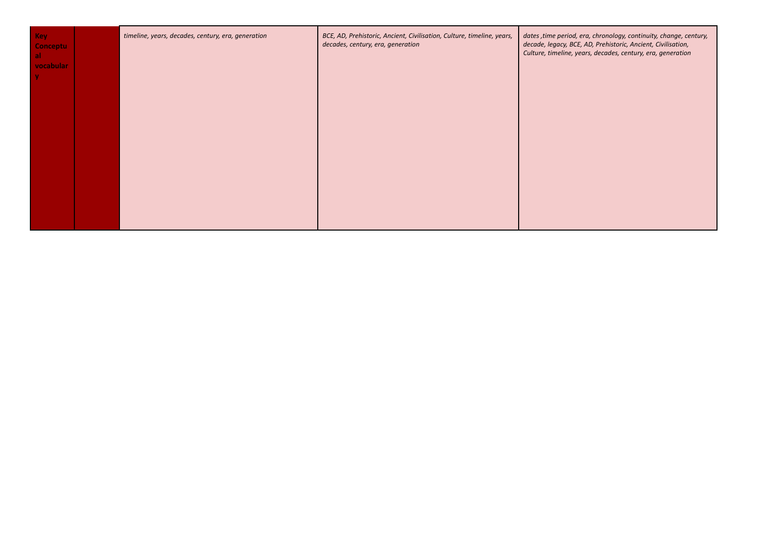| <b>Key</b><br><b>Conceptu</b><br><b>al</b><br>vocabular | timeline, years, decades, century, era, generation | BCE, AD, Prehistoric, Ancient, Civilisation, Culture, timeline, years,<br>decades, century, era, generation | dates, time period, era, chronology, continuity, change, century,<br>decade, legacy, BCE, AD, Prehistoric, Ancient, Civilisation,<br>Culture, timeline, years, decades, century, era, generation |
|---------------------------------------------------------|----------------------------------------------------|-------------------------------------------------------------------------------------------------------------|--------------------------------------------------------------------------------------------------------------------------------------------------------------------------------------------------|
|                                                         |                                                    |                                                                                                             |                                                                                                                                                                                                  |
|                                                         |                                                    |                                                                                                             |                                                                                                                                                                                                  |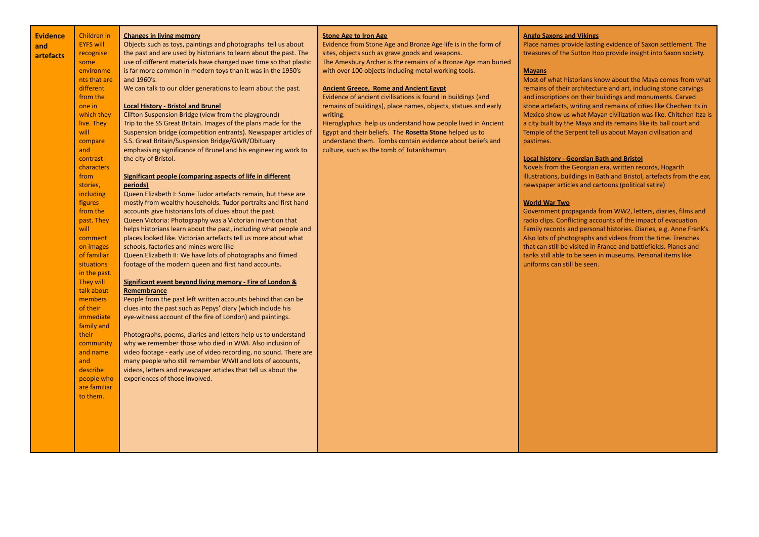| <b>Evidence</b> | Children in              | <b>Changes in living memory</b>                                                                           | <b>Stone Age to Iron Age</b>                                   | <b>Anglo Saxons and Vikings</b>                                                                                                 |
|-----------------|--------------------------|-----------------------------------------------------------------------------------------------------------|----------------------------------------------------------------|---------------------------------------------------------------------------------------------------------------------------------|
| and             | <b>EYFS will</b>         | Objects such as toys, paintings and photographs tell us about                                             | Evidence from Stone Age and Bronze Age life is in the form of  | Place names provide lasting evidence of Saxon settlement. The                                                                   |
| artefacts       | recognise                | the past and are used by historians to learn about the past. The                                          | sites, objects such as grave goods and weapons.                | treasures of the Sutton Hoo provide insight into Saxon society.                                                                 |
|                 | some                     | use of different materials have changed over time so that plastic                                         | The Amesbury Archer is the remains of a Bronze Age man buried  |                                                                                                                                 |
|                 | environme                | is far more common in modern toys than it was in the 1950's                                               | with over 100 objects including metal working tools.           | <b>Mayans</b>                                                                                                                   |
|                 | nts that are             | and 1960's.                                                                                               |                                                                | Most of what historians know about the Maya comes from what                                                                     |
|                 | different                | We can talk to our older generations to learn about the past.                                             | <b>Ancient Greece, Rome and Ancient Egypt</b>                  | remains of their architecture and art, including stone carvings                                                                 |
|                 | from the                 |                                                                                                           | Evidence of ancient civilisations is found in buildings (and   | and inscriptions on their buildings and monuments. Carved                                                                       |
|                 | one in                   | <b>Local History - Bristol and Brunel</b>                                                                 | remains of buildings), place names, objects, statues and early | stone artefacts, writing and remains of cities like Chechen Its in                                                              |
|                 | which they               | Clifton Suspension Bridge (view from the playground)                                                      | writing.                                                       | Mexico show us what Mayan civilization was like. Chitchen Itza is                                                               |
|                 | live. They               | Trip to the SS Great Britain. Images of the plans made for the                                            | Hieroglyphics help us understand how people lived in Ancient   | a city built by the Maya and its remains like its ball court and                                                                |
|                 | will                     | Suspension bridge (competition entrants). Newspaper articles of                                           | Egypt and their beliefs. The Rosetta Stone helped us to        | Temple of the Serpent tell us about Mayan civilisation and                                                                      |
|                 | compare                  | S.S. Great Britain/Suspension Bridge/GWR/Obituary                                                         | understand them. Tombs contain evidence about beliefs and      | pastimes.                                                                                                                       |
|                 | and                      | emphasising significance of Brunel and his engineering work to                                            | culture, such as the tomb of Tutankhamun                       |                                                                                                                                 |
|                 | contrast                 | the city of Bristol.                                                                                      |                                                                | <b>Local history - Georgian Bath and Bristol</b>                                                                                |
|                 | characters               |                                                                                                           |                                                                | Novels from the Georgian era, written records, Hogarth                                                                          |
|                 | from                     | Significant people (comparing aspects of life in different                                                |                                                                | illustrations, buildings in Bath and Bristol, artefacts from the ear,                                                           |
|                 | stories,                 | periods)                                                                                                  |                                                                | newspaper articles and cartoons (political satire)                                                                              |
|                 | including                | Queen Elizabeth I: Some Tudor artefacts remain, but these are                                             |                                                                |                                                                                                                                 |
|                 | figures                  | mostly from wealthy households. Tudor portraits and first hand                                            |                                                                | <b>World War Two</b>                                                                                                            |
|                 | from the                 | accounts give historians lots of clues about the past.                                                    |                                                                | Government propaganda from WW2, letters, diaries, films and                                                                     |
|                 | past. They               | Queen Victoria: Photography was a Victorian invention that                                                |                                                                | radio clips. Conflicting accounts of the impact of evacuation.                                                                  |
|                 | will                     | helps historians learn about the past, including what people and                                          |                                                                | Family records and personal histories. Diaries, e.g. Anne Frank's.                                                              |
|                 | comment                  | places looked like. Victorian artefacts tell us more about what<br>schools, factories and mines were like |                                                                | Also lots of photographs and videos from the time. Trenches<br>that can still be visited in France and battlefields. Planes and |
|                 | on images<br>of familiar | Queen Elizabeth II: We have lots of photographs and filmed                                                |                                                                | tanks still able to be seen in museums. Personal items like                                                                     |
|                 | situations               | footage of the modern queen and first hand accounts.                                                      |                                                                | uniforms can still be seen.                                                                                                     |
|                 | in the past.             |                                                                                                           |                                                                |                                                                                                                                 |
|                 | They will                | Significant event beyond living memory - Fire of London &                                                 |                                                                |                                                                                                                                 |
|                 | talk about               | Remembrance                                                                                               |                                                                |                                                                                                                                 |
|                 | members                  | People from the past left written accounts behind that can be                                             |                                                                |                                                                                                                                 |
|                 | of their                 | clues into the past such as Pepys' diary (which include his                                               |                                                                |                                                                                                                                 |
|                 | immediate                | eye-witness account of the fire of London) and paintings.                                                 |                                                                |                                                                                                                                 |
|                 | family and               |                                                                                                           |                                                                |                                                                                                                                 |
|                 | their                    | Photographs, poems, diaries and letters help us to understand                                             |                                                                |                                                                                                                                 |
|                 | community                | why we remember those who died in WWI. Also inclusion of                                                  |                                                                |                                                                                                                                 |
|                 | and name                 | video footage - early use of video recording, no sound. There are                                         |                                                                |                                                                                                                                 |
|                 | and                      | many people who still remember WWII and lots of accounts,                                                 |                                                                |                                                                                                                                 |
|                 | describe                 | videos, letters and newspaper articles that tell us about the                                             |                                                                |                                                                                                                                 |
|                 | people who               | experiences of those involved.                                                                            |                                                                |                                                                                                                                 |
|                 | are familiar             |                                                                                                           |                                                                |                                                                                                                                 |
|                 | to them.                 |                                                                                                           |                                                                |                                                                                                                                 |
|                 |                          |                                                                                                           |                                                                |                                                                                                                                 |
|                 |                          |                                                                                                           |                                                                |                                                                                                                                 |
|                 |                          |                                                                                                           |                                                                |                                                                                                                                 |
|                 |                          |                                                                                                           |                                                                |                                                                                                                                 |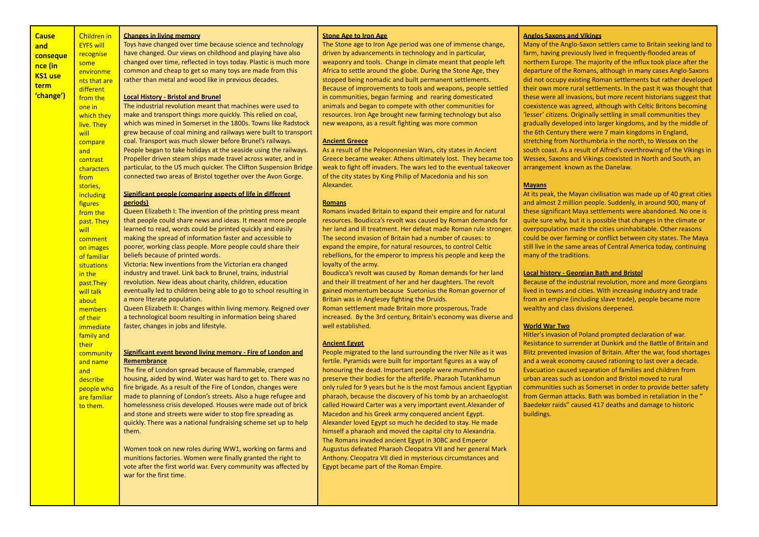| <b>Cause</b>   | <b>Children in</b>     | <b>Changes in living memory</b>                                    | <b>Stone Age to Iron Age</b>                                      | <b>Anglos Saxons and</b>    |
|----------------|------------------------|--------------------------------------------------------------------|-------------------------------------------------------------------|-----------------------------|
| and            | <b>EYFS will</b>       | Toys have changed over time because science and technology         | The Stone age to Iron Age period was one of immense change,       | Many of the Anglo-          |
|                | recognise              | have changed. Our views on childhood and playing have also         | driven by advancements in technology and in particular,           | farm, having previo         |
| conseque       | some                   | changed over time, reflected in toys today. Plastic is much more   | weaponry and tools. Change in climate meant that people left      | northern Europe. T          |
| nce (in        | environme              | common and cheap to get so many toys are made from this            | Africa to settle around the globe. During the Stone Age, they     | departure of the Ro         |
| <b>KS1</b> use |                        | rather than metal and wood like in previous decades.               | stopped being nomadic and built permanent settlements.            | did not occupy exis         |
| term           | nts that are           |                                                                    | Because of improvements to tools and weapons, people settled      | their own more rur          |
| 'change')      | different<br>from the  | <b>Local History - Bristol and Brunel</b>                          | in communities, began farming and rearing domesticated            | these were all invas        |
|                |                        | The industrial revolution meant that machines were used to         | animals and began to compete with other communities for           | coexistence was ag          |
|                | one in                 | make and transport things more quickly. This relied on coal,       | resources. Iron Age brought new farming technology but also       | 'lesser' citizens. Ori      |
|                | which they             | which was mined in Somerset in the 1800s. Towns like Radstock      | new weapons, as a result fighting was more common                 | gradually develope          |
|                | live. They             | grew because of coal mining and railways were built to transport   |                                                                   | the 6th Century the         |
|                | will                   | coal. Transport was much slower before Brunel's railways.          | <b>Ancient Greece</b>                                             | stretching from No          |
|                | compare                | People began to take holidays at the seaside using the railways.   | As a result of the Peloponnesian Wars, city states in Ancient     | south coast. As a re        |
|                | and                    | Propeller driven steam ships made travel across water, and in      | Greece became weaker. Athens ultimately lost. They became too     | <b>Wessex, Saxons and</b>   |
|                | contrast               | particular, to the US much quicker. The Clifton Suspension Bridge  | weak to fight off invaders. The wars led to the eventual takeover | arrangement know            |
|                | characters             | connected two areas of Bristol together over the Avon Gorge.       | of the city states by King Philip of Macedonia and his son        |                             |
|                | from                   |                                                                    | Alexander.                                                        | <b>Mayans</b>               |
|                | stories,               | Significant people (comparing aspects of life in different         |                                                                   | At its peak, the May        |
|                | including              | periods)                                                           | <b>Romans</b>                                                     | and almost 2 millio         |
|                | figures                | Queen Elizabeth I: The invention of the printing press meant       | Romans invaded Britain to expand their empire and for natural     | these significant M         |
|                | from the               | that people could share news and ideas. It meant more people       | resources. Boudicca's revolt was caused by Roman demands for      | quite sure why, but         |
|                | past. They             | learned to read, words could be printed quickly and easily         | her land and ill treatment. Her defeat made Roman rule stronger.  | overpopulation ma           |
|                | will                   | making the spread of information faster and accessible to          | The second invasion of Britain had a number of causes: to         | could be over farmi         |
|                | comment                | poorer, working class people. More people could share their        | expand the empire, for natural resources, to control Celtic       | still live in the same      |
|                | on images              | beliefs because of printed words.                                  | rebellions, for the emperor to impress his people and keep the    | many of the traditio        |
|                | of familiar            | Victoria: New inventions from the Victorian era changed            | loyalty of the army.                                              |                             |
|                | situations<br>in the   | industry and travel. Link back to Brunel, trains, industrial       | Boudicca's revolt was caused by Roman demands for her land        | <b>Local history - Geo</b>  |
|                |                        | revolution. New ideas about charity, children, education           | and their ill treatment of her and her daughters. The revolt      | Because of the indu         |
|                | past.They<br>will talk | eventually led to children being able to go to school resulting in | gained momentum because Suetonius the Roman governor of           | lived in towns and          |
|                | about                  | a more literate population.                                        | Britain was in Anglesey fighting the Druids.                      | from an empire (in          |
|                | members                | Queen Elizabeth II: Changes within living memory. Reigned over     | Roman settlement made Britain more prosperous, Trade              | wealthy and class d         |
|                | of their               | a technological boom resulting in information being shared         | increased. By the 3rd century, Britain's economy was diverse and  |                             |
|                | immediate              | faster, changes in jobs and lifestyle.                             | well established.                                                 | <b>World War Two</b>        |
|                | family and             |                                                                    |                                                                   | Hitler's invasion of        |
|                | their                  |                                                                    | <b>Ancient Egypt</b>                                              | <b>Resistance to surre</b>  |
|                | community              | Significant event beyond living memory - Fire of London and        | People migrated to the land surrounding the river Nile as it was  | <b>Blitz prevented inva</b> |
|                | and name               | Remembrance                                                        | fertile. Pyramids were built for important figures as a way of    | and a weak econon           |
|                | and                    | The fire of London spread because of flammable, cramped            | honouring the dead. Important people were mummified to            | <b>Evacuation caused</b>    |
|                | describe               | housing, aided by wind. Water was hard to get to. There was no     | preserve their bodies for the afterlife. Pharaoh Tutankhamun      | urban areas such as         |
|                | people who             | fire brigade. As a result of the Fire of London, changes were      | only ruled for 9 years but he is the most famous ancient Egyptian | communities such            |
|                | are familiar           | made to planning of London's streets. Also a huge refugee and      | pharaoh, because the discovery of his tomb by an archaeologist    | from German attac           |
|                | to them.               | homelessness crisis developed. Houses were made out of brick       | called Howard Carter was a very important event. Alexander of     | Baedeker raids" cau         |
|                |                        | and stone and streets were wider to stop fire spreading as         | Macedon and his Greek army conquered ancient Egypt.               | buildings.                  |
|                |                        | quickly. There was a national fundraising scheme set up to help    | Alexander loved Egypt so much he decided to stay. He made         |                             |
|                |                        | them.                                                              | himself a pharaoh and moved the capital city to Alexandria.       |                             |
|                |                        |                                                                    | The Romans invaded ancient Egypt in 30BC and Emperor              |                             |
|                |                        | Women took on new roles during WW1, working on farms and           | Augustus defeated Pharaoh Cleopatra VII and her general Mark      |                             |
|                |                        | munitions factories. Women were finally granted the right to       | Anthony. Cleopatra VII died in mysterious circumstances and       |                             |
|                |                        |                                                                    |                                                                   |                             |

Egypt became part of the Roman Empire.

vote after the first world war. Every community was affected by

war for the first time.

#### **Anglos Saxons and Vikings**

Saxon settlers came to Britain seeking land to ously lived in frequently-flooded areas of he majority of the influx took place after the omans, although in many cases Anglo-Saxons ting Roman settlements but rather developed al settlements. In the past it was thought that sions, but more recent historians suggest that reed, although with Celtic Britons becoming iginally settling in small communities they d into larger kingdoms, and by the middle of ere were 7 main kingdoms in England. rthumbria in the north, to Wessex on the esult of Alfred's overthrowing of the Vikings in d Vikings coexisted in North and South, an vn as the Danelaw.

yan civilisation was made up of 40 great cities n people. Suddenly, in around 900, many of aya settlements were abandoned. No one is it is possible that changes in the climate or de the cities uninhabitable. Other reasons ing or conflict between city states. The Maya e areas of Central America today, continuing  $ons.$ 

#### **Local history - Georgian Bath and Bristol**

astrial revolution, more and more Georgians cities. With increasing industry and trade cluding slave trade), people became more divisions deepened.

Poland prompted declaration of war. nder at Dunkirk and the Battle of Britain and asion of Britain. After the war, food shortages ny caused rationing to last over a decade. separation of families and children from s London and Bristol moved to rural as Somerset in order to provide better safety  $f$ ks. Bath was bombed in retaliation in the  $''$ used 417 deaths and damage to historic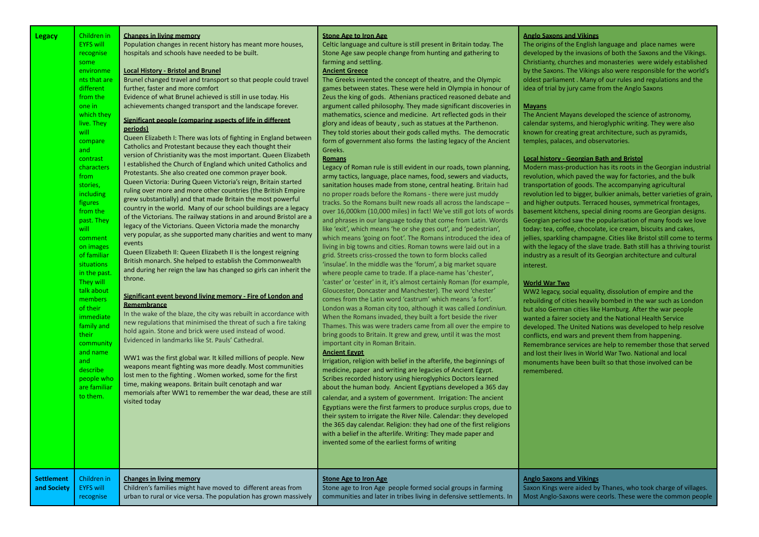| <b>Legacy</b>                    | Children in<br><b>EYFS will</b><br>recognise<br>some<br>environme<br>nts that are<br>different<br>from the<br>one in<br>which they<br>live. They<br>will<br>compare<br>and<br>contrast<br>characters<br>from<br>stories,<br>including<br>figures<br>from the<br>past. They<br>will<br>comment<br>on images<br>of familiar<br>situations<br>in the past<br>They will<br>talk about<br>members<br>of their<br>immediate<br>family and<br>their<br>community<br>and name<br>and<br>describe<br>people who<br>are familiar<br>to them. | <b>Changes in living memory</b><br>Population changes in recent history has meant more houses,<br>hospitals and schools have needed to be built.<br><b>Local History - Bristol and Brunel</b><br>Brunel changed travel and transport so that people could travel<br>further, faster and more comfort<br>Evidence of what Brunel achieved is still in use today. His<br>achievements changed transport and the landscape forever.<br>Significant people (comparing aspects of life in different<br>periods)<br>Queen Elizabeth I: There was lots of fighting in England between<br>Catholics and Protestant because they each thought their<br>version of Christianity was the most important. Queen Elizabeth<br>I established the Church of England which united Catholics and<br>Protestants. She also created one common prayer book.<br>Queen Victoria: During Queen Victoria's reign, Britain started<br>ruling over more and more other countries (the British Empire<br>grew substantially) and that made Britain the most powerful<br>country in the world. Many of our school buildings are a legacy<br>of the Victorians. The railway stations in and around Bristol are a<br>legacy of the Victorians. Queen Victoria made the monarchy<br>very popular, as she supported many charities and went to many<br>events<br>Queen Elizabeth II: Queen Elizabeth II is the longest reigning<br>British monarch. She helped to establish the Commonwealth<br>and during her reign the law has changed so girls can inherit the<br>throne.<br>Significant event beyond living memory - Fire of London and<br>Remembrance<br>In the wake of the blaze, the city was rebuilt in accordance with<br>new regulations that minimised the threat of such a fire taking<br>hold again. Stone and brick were used instead of wood.<br>Evidenced in landmarks like St. Pauls' Cathedral.<br>WW1 was the first global war. It killed millions of people. New<br>weapons meant fighting was more deadly. Most communities<br>lost men to the fighting. Women worked, some for the first<br>time, making weapons. Britain built cenotaph and war<br>memorials after WW1 to remember the war dead, these are still<br>visited today | <b>Stone Age to Iron Age</b><br>Celtic language and culture is still present in Britain today. The<br>Stone Age saw people change from hunting and gathering to<br>farming and settling.<br><b>Ancient Greece</b><br>The Greeks invented the concept of theatre, and the Olympic<br>games between states. These were held in Olympia in honour of<br>Zeus the king of gods. Athenians practiced reasoned debate and<br>argument called philosophy. They made significant discoveries in<br>mathematics, science and medicine. Art reflected gods in their<br>glory and ideas of beauty, such as statues at the Parthenon.<br>They told stories about their gods called myths. The democratic<br>form of government also forms the lasting legacy of the Ancient<br>Greeks.<br><u>Romans</u><br>Legacy of Roman rule is still evident in our roads, town planning,<br>army tactics, language, place names, food, sewers and viaducts,<br>sanitation houses made from stone, central heating. Britain had<br>no proper roads before the Romans - there were just muddy<br>tracks. So the Romans built new roads all across the landscape -<br>over 16,000km (10,000 miles) in fact! We've still got lots of words<br>and phrases in our language today that come from Latin. Words<br>like 'exit', which means 'he or she goes out', and 'pedestrian',<br>which means 'going on foot'. The Romans introduced the idea of<br>living in big towns and cities. Roman towns were laid out in a<br>grid. Streets criss-crossed the town to form blocks called<br>'insulae'. In the middle was the 'forum', a big market square<br>where people came to trade. If a place-name has 'chester',<br>'caster' or 'cester' in it, it's almost certainly Roman (for example,<br>Gloucester, Doncaster and Manchester). The word 'chester'<br>comes from the Latin word 'castrum' which means 'a fort'.<br>London was a Roman city too, although it was called Londiniun.<br>When the Romans invaded, they built a fort beside the river<br>Thames. This was were traders came from all over the empire to<br>bring goods to Britain. It grew and grew, until it was the most<br>important city in Roman Britain.<br><b>Ancient Egypt</b><br>Irrigation, religion with belief in the afterlife, the beginnings of<br>medicine, paper and writing are legacies of Ancient Egypt.<br>Scribes recorded history using hieroglyphics Doctors learned<br>about the human body. Ancient Egyptians developed a 365 day<br>calendar, and a system of government. Irrigation: The ancient<br>Egyptians were the first farmers to produce surplus crops, due to<br>their system to irrigate the River Nile. Calendar: they developed<br>the 365 day calendar. Religion: they had one of the first religions<br>with a belief in the afterlife. Writing: They made paper and<br>invented some of the earliest forms of writing | <b>Anglo Saxons and Vikings</b><br>The origins of the English language and place names were<br>developed by the invasions of both the Saxons and the Vikings.<br>Christianty, churches and monasteries were widely established<br>by the Saxons. The Vikings also were responsible for the world's<br>oldest parliament. Many of our rules and regulations and the<br>idea of trial by jury came from the Anglo Saxons<br><b>Mayans</b><br>The Ancient Mayans developed the science of astronomy,<br>calendar systems, and hieroglyphic writing. They were also<br>known for creating great architecture, such as pyramids,<br>temples, palaces, and observatories.<br><b>Local history - Georgian Bath and Bristol</b><br>Modern mass-production has its roots in the Georgian industrial<br>revolution, which paved the way for factories, and the bulk<br>transportation of goods. The accompanying agricultural<br>revolution led to bigger, bulkier animals, better varieties of grain,<br>and higher outputs. Terraced houses, symmetrical frontages,<br>basement kitchens, special dining rooms are Georgian designs.<br>Georgian period saw the popularisation of many foods we love<br>today: tea, coffee, chocolate, ice cream, biscuits and cakes,<br>jellies, sparkling champagne. Cities like Bristol still come to terms<br>with the legacy of the slave trade. Bath still has a thriving tourist<br>industry as a result of its Georgian architecture and cultural<br>interest.<br><b>World War Two</b><br>WW2 legacy, social equality, dissolution of empire and the<br>rebuilding of cities heavily bombed in the war such as London<br>but also German cities like Hamburg. After the war people<br>wanted a fairer society and the National Health Service<br>developed. The United Nations was developed to help resolve<br>conflicts, end wars and prevent them from happening.<br>Remembrance services are help to remember those that served<br>and lost their lives in World War Two. National and local<br>monuments have been built so that those involved can be<br>remembered. |
|----------------------------------|------------------------------------------------------------------------------------------------------------------------------------------------------------------------------------------------------------------------------------------------------------------------------------------------------------------------------------------------------------------------------------------------------------------------------------------------------------------------------------------------------------------------------------|---------------------------------------------------------------------------------------------------------------------------------------------------------------------------------------------------------------------------------------------------------------------------------------------------------------------------------------------------------------------------------------------------------------------------------------------------------------------------------------------------------------------------------------------------------------------------------------------------------------------------------------------------------------------------------------------------------------------------------------------------------------------------------------------------------------------------------------------------------------------------------------------------------------------------------------------------------------------------------------------------------------------------------------------------------------------------------------------------------------------------------------------------------------------------------------------------------------------------------------------------------------------------------------------------------------------------------------------------------------------------------------------------------------------------------------------------------------------------------------------------------------------------------------------------------------------------------------------------------------------------------------------------------------------------------------------------------------------------------------------------------------------------------------------------------------------------------------------------------------------------------------------------------------------------------------------------------------------------------------------------------------------------------------------------------------------------------------------------------------------------------------------------------------------------------------------------------------------------|-----------------------------------------------------------------------------------------------------------------------------------------------------------------------------------------------------------------------------------------------------------------------------------------------------------------------------------------------------------------------------------------------------------------------------------------------------------------------------------------------------------------------------------------------------------------------------------------------------------------------------------------------------------------------------------------------------------------------------------------------------------------------------------------------------------------------------------------------------------------------------------------------------------------------------------------------------------------------------------------------------------------------------------------------------------------------------------------------------------------------------------------------------------------------------------------------------------------------------------------------------------------------------------------------------------------------------------------------------------------------------------------------------------------------------------------------------------------------------------------------------------------------------------------------------------------------------------------------------------------------------------------------------------------------------------------------------------------------------------------------------------------------------------------------------------------------------------------------------------------------------------------------------------------------------------------------------------------------------------------------------------------------------------------------------------------------------------------------------------------------------------------------------------------------------------------------------------------------------------------------------------------------------------------------------------------------------------------------------------------------------------------------------------------------------------------------------------------------------------------------------------------------------------------------------------------------------------------------------------------------------------------------------------------------------------------------------------------------------------------------------------------------------------------------------------------------------------------------------------------------------------------------------|------------------------------------------------------------------------------------------------------------------------------------------------------------------------------------------------------------------------------------------------------------------------------------------------------------------------------------------------------------------------------------------------------------------------------------------------------------------------------------------------------------------------------------------------------------------------------------------------------------------------------------------------------------------------------------------------------------------------------------------------------------------------------------------------------------------------------------------------------------------------------------------------------------------------------------------------------------------------------------------------------------------------------------------------------------------------------------------------------------------------------------------------------------------------------------------------------------------------------------------------------------------------------------------------------------------------------------------------------------------------------------------------------------------------------------------------------------------------------------------------------------------------------------------------------------------------------------------------------------------------------------------------------------------------------------------------------------------------------------------------------------------------------------------------------------------------------------------------------------------------------------------------------------------------------------------------------------------------------------------------------------------------------------------------------------------------------------------------------------|
| <b>Settlement</b><br>and Society | Children in<br><b>EYFS will</b><br>recognise                                                                                                                                                                                                                                                                                                                                                                                                                                                                                       | <b>Changes in living memory</b><br>Children's families might have moved to different areas from<br>urban to rural or vice versa. The population has grown massively                                                                                                                                                                                                                                                                                                                                                                                                                                                                                                                                                                                                                                                                                                                                                                                                                                                                                                                                                                                                                                                                                                                                                                                                                                                                                                                                                                                                                                                                                                                                                                                                                                                                                                                                                                                                                                                                                                                                                                                                                                                       | <b>Stone Age to Iron Age</b><br>Stone age to Iron Age people formed social groups in farming<br>communities and later in tribes living in defensive settlements. In                                                                                                                                                                                                                                                                                                                                                                                                                                                                                                                                                                                                                                                                                                                                                                                                                                                                                                                                                                                                                                                                                                                                                                                                                                                                                                                                                                                                                                                                                                                                                                                                                                                                                                                                                                                                                                                                                                                                                                                                                                                                                                                                                                                                                                                                                                                                                                                                                                                                                                                                                                                                                                                                                                                                 | <b>Anglo Saxons and Vikings</b><br>Saxon Kings were aided by Thanes, who took charge of villages.<br>Most Anglo-Saxons were ceorls. These were the common people                                                                                                                                                                                                                                                                                                                                                                                                                                                                                                                                                                                                                                                                                                                                                                                                                                                                                                                                                                                                                                                                                                                                                                                                                                                                                                                                                                                                                                                                                                                                                                                                                                                                                                                                                                                                                                                                                                                                           |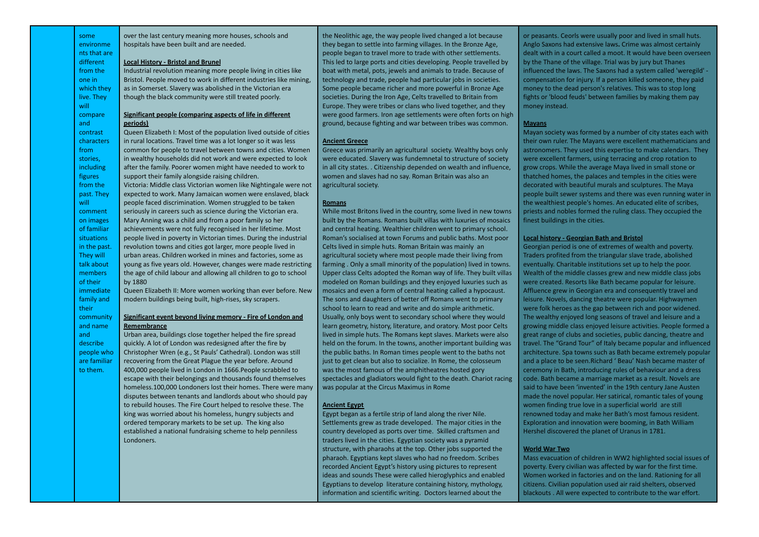some environme nts that are different from the one in which they live. They will compare and contrast characters from stories, including figures from the past. They will comment on images of familiar situations in the past. They will talk about members of their immediate family and their community and name and describe people who are familiar to them.

over the last century meaning more houses, schools and hospitals have been built and are needed.

#### **Local History - Bristol and Brunel**

Industrial revolution meaning more people living in cities like Bristol. People moved to work in different industries like mining, as in Somerset. Slavery was abolished in the Victorian era though the black community were still treated poorly.

#### **Significant people (comparing aspects of life in different periods)**

Queen Elizabeth I: Most of the population lived outside of cities in rural locations. Travel time was a lot longer so it was less common for people to travel between towns and cities. Women in wealthy households did not work and were expected to look after the family. Poorer women might have needed to work to support their family alongside raising children. Victoria: Middle class Victorian women like Nightingale were not expected to work. Many Jamaican women were enslaved, black people faced discrimination. Women struggled to be taken seriously in careers such as science during the Victorian era. Mary Anning was a child and from a poor family so her achievements were not fully recognised in her lifetime. Most people lived in poverty in Victorian times. During the industrial revolution towns and cities got larger, more people lived in urban areas. Children worked in mines and factories, some as young as five years old. However, changes were made restricting the age of child labour and allowing all children to go to school by 1880

Queen Elizabeth II: More women working than ever before. New modern buildings being built, high-rises, sky scrapers.

#### **Significant event beyond living memory - Fire of London and Remembrance**

Urban area, buildings close together helped the fire spread quickly. A lot of London was redesigned after the fire by Christopher Wren (e.g., St Pauls' Cathedral). London was still recovering from the Great Plague the year before. Around 400,000 people lived in London in 1666.People scrabbled to escape with their belongings and thousands found themselves homeless.100,000 Londoners lost their homes. There were many disputes between tenants and landlords about who should pay to rebuild houses. The Fire Court helped to resolve these. The king was worried about his homeless, hungry subjects and ordered temporary markets to be set up. The king also established a national fundraising scheme to help penniless Londoners.

the Neolithic age, the way people lived changed a lot because they began to settle into farming villages. In the Bronze Age, people began to travel more to trade with other settlements. This led to large ports and cities developing. People travelled by boat with metal, pots, jewels and animals to trade. Because of technology and trade, people had particular jobs in societies. Some people became richer and more powerful in Bronze Age societies. During the Iron Age, Celts travelled to Britain from Europe. They were tribes or clans who lived together, and they were good farmers. Iron age settlements were often forts on high ground, because fighting and war between tribes was common.

#### **Ancient Greece**

Greece was primarily an agricultural society. Wealthy boys only were educated. Slavery was fundemnetal to structure of society in all city states. . Citizenship depended on wealth and influence, women and slaves had no say. Roman Britain was also an agricultural society.

#### **Romans**

While most Britons lived in the country, some lived in new towns built by the Romans. Romans built villas with luxuries of mosaics and central heating. Wealthier children went to primary school. Roman's socialised at town Forums and public baths. Most poor Celts lived in simple huts. Roman Britain was mainly an agricultural society where most people made their living from farming . Only a small minority of the population) lived in towns. Upper class Celts adopted the Roman way of life. They built villas modeled on Roman buildings and they enjoyed luxuries such as mosaics and even a form of central heating called a hypocaust. The sons and daughters of better off Romans went to primary school to learn to read and write and do simple arithmetic. Usually, only boys went to secondary school where they would learn geometry, history, literature, and oratory. Most poor Celts lived in simple huts. The Romans kept slaves. Markets were also held on the forum. In the towns, another important building was the public baths. In Roman times people went to the baths not just to get clean but also to socialize. In Rome, the colosseum was the most famous of the amphitheatres hosted gory spectacles and gladiators would fight to the death. Chariot racing was popular at the Circus Maximus in Rome

#### **Ancient Egypt**

Egypt began as a fertile strip of land along the river Nile. Settlements grew as trade developed. The major cities in the country developed as ports over time. Skilled craftsmen and traders lived in the cities. Egyptian society was a pyramid structure, with pharaohs at the top. Other jobs supported the pharaoh. Egyptians kept slaves who had no freedom. Scribes recorded Ancient Egypt's history using pictures to represent ideas and sounds These were called hieroglyphics and enabled Egyptians to develop literature containing history, mythology, information and scientific writing. Doctors learned about the

or peasants. Ceorls were usually poor and lived in small huts. Anglo Saxons had extensive laws**.** Crime was almost certainly dealt with in a court called a moot. It would have been overseen by the Thane of the village. Trial was by jury but Thanes influenced the laws. The Saxons had a system called 'weregild' compensation for injury. If a person killed someone, they paid money to the dead person's relatives. This was to stop long fights or 'blood feuds' between families by making them pay money instead.

#### **Mayans**

Mayan society was formed by a number of city states each with their own ruler. The Mayans were excellent mathematicians and astronomers. They used this expertise to make calendars. They were excellent farmers, using terracing and crop rotation to grow crops. While the average Maya lived in small stone or thatched homes, the palaces and temples in the cities were decorated with beautiful murals and sculptures. The Maya people built sewer systems and there was even running water in the wealthiest people's homes. An educated elite of scribes, priests and nobles formed the ruling class. They occupied the finest buildings in the cities.

#### **Local history - Georgian Bath and Bristol**

Georgian period is one of extremes of wealth and poverty. Traders profited from the triangular slave trade, abolished eventually. Charitable institutions set up to help the poor. Wealth of the middle classes grew and new middle class jobs were created. Resorts like Bath became popular for leisure. Affluence grew in Georgian era and consequently travel and leisure. Novels, dancing theatre were popular. Highwaymen were folk heroes as the gap between rich and poor widened. The wealthy enjoyed long seasons of travel and leisure and a growing middle class enjoyed leisure activities. People formed a great range of clubs and societies, public dancing, theatre and travel. The "Grand Tour" of Italy became popular and influenced architecture. Spa towns such as Bath became extremely popular and a place to be seen.Richard ' Beau' Nash became master of ceremony in Bath, introducing rules of behaviour and a dress code. Bath became a marriage market as a result. Novels are said to have been 'invented' in the 19th century Jane Austen made the novel popular. Her satirical, romantic tales of young women finding true love in a superficial world are still renowned today and make her Bath's most famous resident. Exploration and innovation were booming, in Bath William Hershel discovered the planet of Uranus in 1781.

#### **World War Two**

Mass evacuation of children in WW2 highlighted social issues of poverty. Every civilian was affected by war for the first time. Women worked in factories and on the land. Rationing for all citizens. Civilian population used air raid shelters, observed blackouts . All were expected to contribute to the war effort.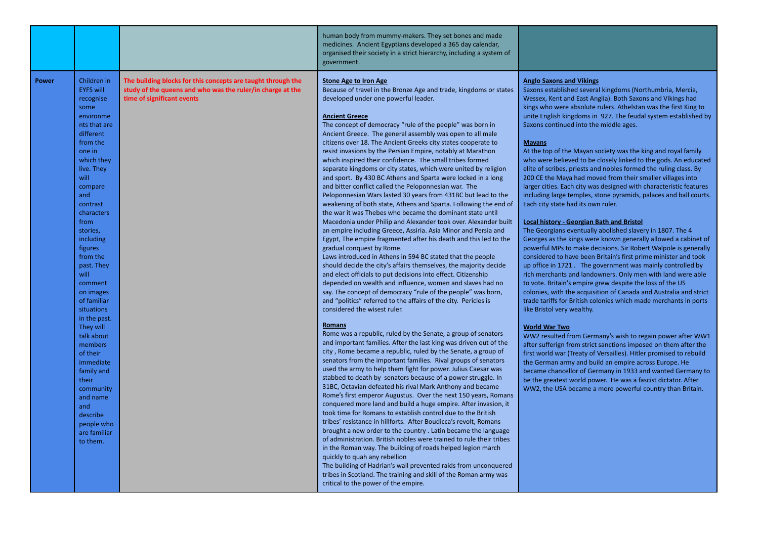|       |                                                                                                                                                                                                                                                                                                                                                                                                                                                                                                                                     |                                                                                                                                                          | human body from mummy-makers. They set bones and made<br>medicines. Ancient Egyptians developed a 365 day calendar,<br>organised their society in a strict hierarchy, including a system of<br>government.                                                                                                                                                                                                                                                                                                                                                                                                                                                                                                                                                                                                                                                                                                                                                                                                                                                                                                                                                                                                                                                                                                                                                                                                                                                                                                                                                                                                                                                                                                                                                                                                                                                                                                                                                                                                                                                                                                                                                                                                                                                                                                                                                                                                                                                                                                                                                                                                                                                                                                                                              |                                                                                                                                                                                                                                                                                                                                                                                                                                                                                                                                                                                                                                                                                                                                                                                                                                                                                                                                                                                                                                                                                                                                                                                                                                                                                                                                                                                                                                                                                                                                                                                                                                                                                                                                                                                                                                                                                                                                                                                                  |
|-------|-------------------------------------------------------------------------------------------------------------------------------------------------------------------------------------------------------------------------------------------------------------------------------------------------------------------------------------------------------------------------------------------------------------------------------------------------------------------------------------------------------------------------------------|----------------------------------------------------------------------------------------------------------------------------------------------------------|---------------------------------------------------------------------------------------------------------------------------------------------------------------------------------------------------------------------------------------------------------------------------------------------------------------------------------------------------------------------------------------------------------------------------------------------------------------------------------------------------------------------------------------------------------------------------------------------------------------------------------------------------------------------------------------------------------------------------------------------------------------------------------------------------------------------------------------------------------------------------------------------------------------------------------------------------------------------------------------------------------------------------------------------------------------------------------------------------------------------------------------------------------------------------------------------------------------------------------------------------------------------------------------------------------------------------------------------------------------------------------------------------------------------------------------------------------------------------------------------------------------------------------------------------------------------------------------------------------------------------------------------------------------------------------------------------------------------------------------------------------------------------------------------------------------------------------------------------------------------------------------------------------------------------------------------------------------------------------------------------------------------------------------------------------------------------------------------------------------------------------------------------------------------------------------------------------------------------------------------------------------------------------------------------------------------------------------------------------------------------------------------------------------------------------------------------------------------------------------------------------------------------------------------------------------------------------------------------------------------------------------------------------------------------------------------------------------------------------------------------------|--------------------------------------------------------------------------------------------------------------------------------------------------------------------------------------------------------------------------------------------------------------------------------------------------------------------------------------------------------------------------------------------------------------------------------------------------------------------------------------------------------------------------------------------------------------------------------------------------------------------------------------------------------------------------------------------------------------------------------------------------------------------------------------------------------------------------------------------------------------------------------------------------------------------------------------------------------------------------------------------------------------------------------------------------------------------------------------------------------------------------------------------------------------------------------------------------------------------------------------------------------------------------------------------------------------------------------------------------------------------------------------------------------------------------------------------------------------------------------------------------------------------------------------------------------------------------------------------------------------------------------------------------------------------------------------------------------------------------------------------------------------------------------------------------------------------------------------------------------------------------------------------------------------------------------------------------------------------------------------------------|
| Power | Children in<br><b>EYFS will</b><br>recognise<br>some<br>environme<br>nts that are<br>different<br>from the<br>one in<br>which they<br>live. They<br>will<br>compare<br>and<br>contrast<br>characters<br>from<br>stories,<br>including<br>figures<br>from the<br>past. They<br>will<br>comment<br>on images<br>of familiar<br>situations<br>in the past.<br>They will<br>talk about<br>members<br>of their<br>immediate<br>family and<br>their<br>community<br>and name<br>and<br>describe<br>people who<br>are familiar<br>to them. | The building blocks for this concepts are taught through the<br>study of the queens and who was the ruler/in charge at the<br>time of significant events | <b>Stone Age to Iron Age</b><br>Because of travel in the Bronze Age and trade, kingdoms or states<br>developed under one powerful leader.<br><b>Ancient Greece</b><br>The concept of democracy "rule of the people" was born in<br>Ancient Greece. The general assembly was open to all male<br>citizens over 18. The Ancient Greeks city states cooperate to<br>resist invasions by the Persian Empire, notably at Marathon<br>which inspired their confidence. The small tribes formed<br>separate kingdoms or city states, which were united by religion<br>and sport. By 430 BC Athens and Sparta were locked in a long<br>and bitter conflict called the Peloponnesian war. The<br>Peloponnesian Wars lasted 30 years from 431BC but lead to the<br>weakening of both state, Athens and Sparta. Following the end of<br>the war it was Thebes who became the dominant state until<br>Macedonia under Philip and Alexander took over. Alexander built<br>an empire including Greece, Assiria. Asia Minor and Persia and<br>Egypt, The empire fragmented after his death and this led to the<br>gradual conquest by Rome.<br>Laws introduced in Athens in 594 BC stated that the people<br>should decide the city's affairs themselves, the majority decide<br>and elect officials to put decisions into effect. Citizenship<br>depended on wealth and influence, women and slaves had no<br>say. The concept of democracy "rule of the people" was born,<br>and "politics" referred to the affairs of the city. Pericles is<br>considered the wisest ruler.<br><b>Romans</b><br>Rome was a republic, ruled by the Senate, a group of senators<br>and important families. After the last king was driven out of the<br>city, Rome became a republic, ruled by the Senate, a group of<br>senators from the important families. Rival groups of senators<br>used the army to help them fight for power. Julius Caesar was<br>stabbed to death by senators because of a power struggle. In<br>31BC, Octavian defeated his rival Mark Anthony and became<br>Rome's first emperor Augustus. Over the next 150 years, Romans<br>conquered more land and build a huge empire. After invasion, it<br>took time for Romans to establish control due to the British<br>tribes' resistance in hillforts. After Boudicca's revolt, Romans<br>brought a new order to the country. Latin became the language<br>of administration. British nobles were trained to rule their tribes<br>in the Roman way. The building of roads helped legion march<br>quickly to quah any rebellion<br>The building of Hadrian's wall prevented raids from unconquered<br>tribes in Scotland. The training and skill of the Roman army was<br>critical to the power of the empire. | <b>Anglo Saxons and Vikings</b><br>Saxons established several kingdoms (Northumbria, Mercia,<br>Wessex, Kent and East Anglia). Both Saxons and Vikings had<br>kings who were absolute rulers. Athelstan was the first King to<br>unite English kingdoms in 927. The feudal system established by<br>Saxons continued into the middle ages.<br><b>Mayans</b><br>At the top of the Mayan society was the king and royal family<br>who were believed to be closely linked to the gods. An educated<br>elite of scribes, priests and nobles formed the ruling class. By<br>200 CE the Maya had moved from their smaller villages into<br>larger cities. Each city was designed with characteristic features<br>including large temples, stone pyramids, palaces and ball courts.<br>Each city state had its own ruler.<br><b>Local history - Georgian Bath and Bristol</b><br>The Georgians eventually abolished slavery in 1807. The 4<br>Georges as the kings were known generally allowed a cabinet of<br>powerful MPs to make decisions. Sir Robert Walpole is generally<br>considered to have been Britain's first prime minister and took<br>up office in 1721. The government was mainly controlled by<br>rich merchants and landowners. Only men with land were able<br>to vote. Britain's empire grew despite the loss of the US<br>colonies, with the acquisition of Canada and Australia and strict<br>trade tariffs for British colonies which made merchants in ports<br>like Bristol very wealthy.<br><b>World War Two</b><br>WW2 resulted from Germany's wish to regain power after WW1<br>after sufferign from strict sanctions imposed on them after the<br>first world war (Treaty of Versailles). Hitler promised to rebuild<br>the German army and build an empire across Europe. He<br>became chancellor of Germany in 1933 and wanted Germany to<br>be the greatest world power. He was a fascist dictator. After<br>WW2, the USA became a more powerful country than Britain. |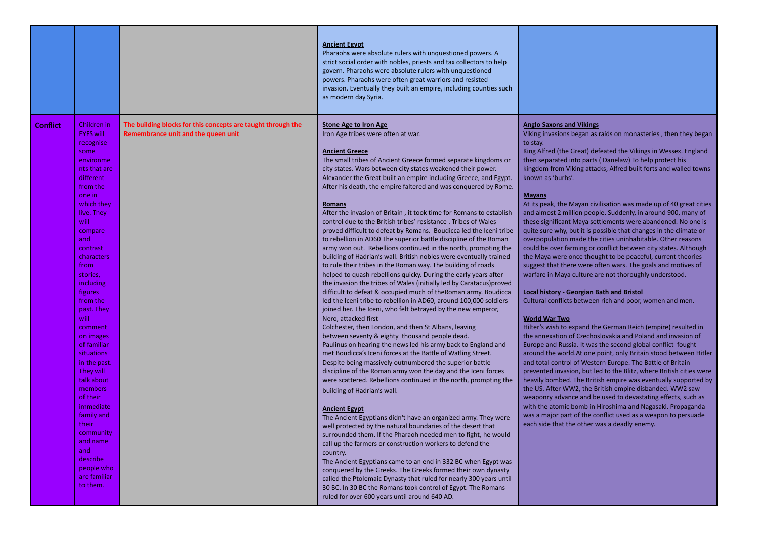|                 |                                                                                                                                                                                                                                                                                                                                                                                                                                                                                                                                            |                                                                                                     | <b>Ancient Egypt</b><br>Pharaohs were absolute rulers with unquestioned powers. A<br>strict social order with nobles, priests and tax collectors to help<br>govern. Pharaohs were absolute rulers with unquestioned<br>powers. Pharaohs were often great warriors and resisted<br>invasion. Eventually they built an empire, including counties such<br>as modern day Syria.                                                                                                                                                                                                                                                                                                                                                                                                                                                                                                                                                                                                                                                                                                                                                                                                                                                                                                                                                                                                                                                                                                                                                                                                                                                                                                                                                                                                                                                                                                                                                                                                                                                                                                                                                                                                                                                                                                                                                                                    |                                                                                                                                                                                                                                                                                                                                                                                                                                                                                                                                                                                                                                                                                                                                                                                                                                                                                                                                                                                                                                                                                                                                                                                                                                                                                                                                                                                                                                                                                                                                                                                                                                                                                                                                                                                                                                                                                             |
|-----------------|--------------------------------------------------------------------------------------------------------------------------------------------------------------------------------------------------------------------------------------------------------------------------------------------------------------------------------------------------------------------------------------------------------------------------------------------------------------------------------------------------------------------------------------------|-----------------------------------------------------------------------------------------------------|-----------------------------------------------------------------------------------------------------------------------------------------------------------------------------------------------------------------------------------------------------------------------------------------------------------------------------------------------------------------------------------------------------------------------------------------------------------------------------------------------------------------------------------------------------------------------------------------------------------------------------------------------------------------------------------------------------------------------------------------------------------------------------------------------------------------------------------------------------------------------------------------------------------------------------------------------------------------------------------------------------------------------------------------------------------------------------------------------------------------------------------------------------------------------------------------------------------------------------------------------------------------------------------------------------------------------------------------------------------------------------------------------------------------------------------------------------------------------------------------------------------------------------------------------------------------------------------------------------------------------------------------------------------------------------------------------------------------------------------------------------------------------------------------------------------------------------------------------------------------------------------------------------------------------------------------------------------------------------------------------------------------------------------------------------------------------------------------------------------------------------------------------------------------------------------------------------------------------------------------------------------------------------------------------------------------------------------------------------------------|---------------------------------------------------------------------------------------------------------------------------------------------------------------------------------------------------------------------------------------------------------------------------------------------------------------------------------------------------------------------------------------------------------------------------------------------------------------------------------------------------------------------------------------------------------------------------------------------------------------------------------------------------------------------------------------------------------------------------------------------------------------------------------------------------------------------------------------------------------------------------------------------------------------------------------------------------------------------------------------------------------------------------------------------------------------------------------------------------------------------------------------------------------------------------------------------------------------------------------------------------------------------------------------------------------------------------------------------------------------------------------------------------------------------------------------------------------------------------------------------------------------------------------------------------------------------------------------------------------------------------------------------------------------------------------------------------------------------------------------------------------------------------------------------------------------------------------------------------------------------------------------------|
| <b>Conflict</b> | Children in<br><b>EYFS will</b><br>recognise<br>some<br>environme<br>nts that are<br>different<br>from the<br>one in<br>which they<br>live. They<br>will<br>compare<br>and<br>contrast<br>characters<br>from<br>stories,<br>including<br><b>figures</b><br>from the<br>past. They<br>will<br>comment<br>on images<br>of familiar<br>situations<br>in the past.<br>They will<br>talk about<br>members<br>of their<br>immediate<br>family and<br>their<br>community<br>and name<br>and<br>describe<br>people who<br>are familiar<br>to them. | The building blocks for this concepts are taught through the<br>Remembrance unit and the queen unit | <b>Stone Age to Iron Age</b><br>Iron Age tribes were often at war.<br><b>Ancient Greece</b><br>The small tribes of Ancient Greece formed separate kingdoms or<br>city states. Wars between city states weakened their power.<br>Alexander the Great built an empire including Greece, and Egypt.<br>After his death, the empire faltered and was conquered by Rome.<br><b>Romans</b><br>After the invasion of Britain, it took time for Romans to establish<br>control due to the British tribes' resistance. Tribes of Wales<br>proved difficult to defeat by Romans. Boudicca led the Iceni tribe<br>to rebellion in AD60 The superior battle discipline of the Roman<br>army won out. Rebellions continued in the north, prompting the<br>building of Hadrian's wall. British nobles were eventually trained<br>to rule their tribes in the Roman way. The building of roads<br>helped to quash rebellions quicky. During the early years after<br>the invasion the tribes of Wales (initially led by Caratacus) proved<br>difficult to defeat & occupied much of the Roman army. Boudicca<br>led the Iceni tribe to rebellion in AD60, around 100,000 soldiers<br>joined her. The Iceni, who felt betrayed by the new emperor,<br>Nero, attacked first<br>Colchester, then London, and then St Albans, leaving<br>between seventy & eighty thousand people dead.<br>Paulinus on hearing the news led his army back to England and<br>met Boudicca's Iceni forces at the Battle of Watling Street.<br>Despite being massively outnumbered the superior battle<br>discipline of the Roman army won the day and the Iceni forces<br>were scattered. Rebellions continued in the north, prompting the<br>building of Hadrian's wall.<br><b>Ancient Egypt</b><br>The Ancient Egyptians didn't have an organized army. They were<br>well protected by the natural boundaries of the desert that<br>surrounded them. If the Pharaoh needed men to fight, he would<br>call up the farmers or construction workers to defend the<br>country.<br>The Ancient Egyptians came to an end in 332 BC when Egypt was<br>conquered by the Greeks. The Greeks formed their own dynasty<br>called the Ptolemaic Dynasty that ruled for nearly 300 years until<br>30 BC. In 30 BC the Romans took control of Egypt. The Romans<br>ruled for over 600 years until around 640 AD. | <b>Anglo Saxons and Vikings</b><br>Viking invasions began as raids on monasteries, then they began<br>to stay.<br>King Alfred (the Great) defeated the Vikings in Wessex. England<br>then separated into parts (Danelaw) To help protect his<br>kingdom from Viking attacks, Alfred built forts and walled towns<br>known as 'burhs'.<br><b>Mayans</b><br>At its peak, the Mayan civilisation was made up of 40 great cities<br>and almost 2 million people. Suddenly, in around 900, many of<br>these significant Maya settlements were abandoned. No one is<br>quite sure why, but it is possible that changes in the climate or<br>overpopulation made the cities uninhabitable. Other reasons<br>could be over farming or conflict between city states. Although<br>the Maya were once thought to be peaceful, current theories<br>suggest that there were often wars. The goals and motives of<br>warfare in Maya culture are not thoroughly understood.<br><b>Local history - Georgian Bath and Bristol</b><br>Cultural conflicts between rich and poor, women and men.<br><b>World War Two</b><br>Hilter's wish to expand the German Reich (empire) resulted in<br>the annexation of Czechoslovakia and Poland and invasion of<br>Europe and Russia. It was the second global conflict fought<br>around the world. At one point, only Britain stood between Hitler<br>and total control of Western Europe. The Battle of Britain<br>prevented invasion, but led to the Blitz, where British cities were<br>heavily bombed. The British empire was eventually supported by<br>the US. After WW2, the British empire disbanded. WW2 saw<br>weaponry advance and be used to devastating effects, such as<br>with the atomic bomb in Hiroshima and Nagasaki. Propaganda<br>was a major part of the conflict used as a weapon to persuade<br>each side that the other was a deadly enemy. |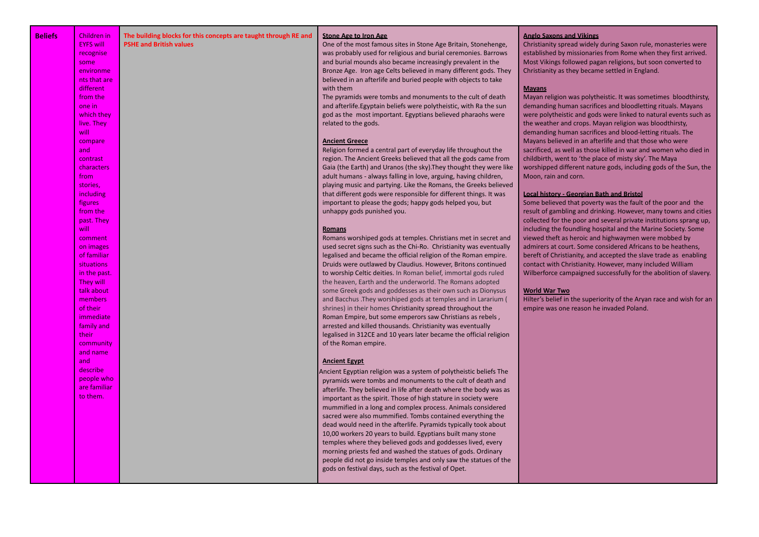| <b>Beliefs</b> | Children in<br><b>EYFS will</b><br>recognise<br>some<br>environme<br>nts that are<br>different<br>from the<br>one in<br>which they<br>live. They<br>will<br>compare<br>and<br>contrast<br>characters<br>from<br>stories,<br>including<br>figures<br>from the<br>past. They<br>will<br>comment<br>on images<br>of familiar<br><b>situations</b><br>in the past.<br>They will<br>talk about<br>members<br>of their<br>immediate<br>family and<br>their<br>community<br>and name<br>and<br>describe<br>people who<br>are familiar<br>to them. | The building blocks for this concepts are taught through RE and<br><b>PSHE and British values</b> | <b>Stone Age to Iron Age</b><br>One of the most famous sites in Stone Age Britain, Stonehenge,<br>was probably used for religious and burial ceremonies. Barrows<br>and burial mounds also became increasingly prevalent in the<br>Bronze Age. Iron age Celts believed in many different gods. They<br>believed in an afterlife and buried people with objects to take<br>with them<br>The pyramids were tombs and monuments to the cult of death<br>and afterlife. Egyptain beliefs were polytheistic, with Ra the sun<br>god as the most important. Egyptians believed pharaohs were<br>related to the gods.<br><b>Ancient Greece</b><br>Religion formed a central part of everyday life throughout the<br>region. The Ancient Greeks believed that all the gods came from<br>Gaia (the Earth) and Uranos (the sky). They thought they were like<br>adult humans - always falling in love, arguing, having children,<br>playing music and partying. Like the Romans, the Greeks believed<br>that different gods were responsible for different things. It was<br>important to please the gods; happy gods helped you, but<br>unhappy gods punished you.<br><b>Romans</b><br>Romans worshiped gods at temples. Christians met in secret and<br>used secret signs such as the Chi-Ro. Christianity was eventually<br>legalised and became the official religion of the Roman empire.<br>Druids were outlawed by Claudius. However, Britons continued<br>to worship Celtic deities. In Roman belief, immortal gods ruled<br>the heaven, Earth and the underworld. The Romans adopted<br>some Greek gods and goddesses as their own such as Dionysus<br>and Bacchus . They worshiped gods at temples and in Lararium (<br>shrines) in their homes Christianity spread throughout the<br>Roman Empire, but some emperors saw Christians as rebels,<br>arrested and killed thousands. Christianity was eventually<br>legalised in 312CE and 10 years later became the official religion<br>of the Roman empire.<br><b>Ancient Egypt</b><br>Ancient Egyptian religion was a system of polytheistic beliefs The<br>pyramids were tombs and monuments to the cult of death and<br>afterlife. They believed in life after death where the body was as<br>important as the spirit. Those of high stature in society were<br>mummified in a long and complex process. Animals considered<br>sacred were also mummified. Tombs contained everything the<br>dead would need in the afterlife. Pyramids typically took about<br>10,00 workers 20 years to build. Egyptians built many stone<br>temples where they believed gods and goddesses lived, every<br>morning priests fed and washed the statues of gods. Ordinary<br>people did not go inside temples and only saw the statues of the<br>gods on festival days, such as the festival of Opet. | <b>Anglo Saxons and Vikings</b><br>Christianity spread widely during Saxon rule, monasteries were<br>established by missionaries from Rome when they first arrived.<br>Most Vikings followed pagan religions, but soon converted to<br>Christianity as they became settled in England.<br><b>Mayans</b><br>Mayan religion was polytheistic. It was sometimes bloodthirsty,<br>demanding human sacrifices and bloodletting rituals. Mayans<br>were polytheistic and gods were linked to natural events such as<br>the weather and crops. Mayan religion was bloodthirsty,<br>demanding human sacrifices and blood-letting rituals. The<br>Mayans believed in an afterlife and that those who were<br>sacrificed, as well as those killed in war and women who died in<br>childbirth, went to 'the place of misty sky'. The Maya<br>worshipped different nature gods, including gods of the Sun, the<br>Moon, rain and corn.<br><b>Local history - Georgian Bath and Bristol</b><br>Some believed that poverty was the fault of the poor and the<br>result of gambling and drinking. However, many towns and cities<br>collected for the poor and several private institutions sprang up,<br>including the foundling hospital and the Marine Society. Some<br>viewed theft as heroic and highwaymen were mobbed by<br>admirers at court. Some considered Africans to be heathens,<br>bereft of Christianity, and accepted the slave trade as enabling<br>contact with Christianity. However, many included William<br>Wilberforce campaigned successfully for the abolition of slavery.<br><b>World War Two</b><br>Hilter's belief in the superiority of the Aryan race and wish for an<br>empire was one reason he invaded Poland. |
|----------------|--------------------------------------------------------------------------------------------------------------------------------------------------------------------------------------------------------------------------------------------------------------------------------------------------------------------------------------------------------------------------------------------------------------------------------------------------------------------------------------------------------------------------------------------|---------------------------------------------------------------------------------------------------|-------------------------------------------------------------------------------------------------------------------------------------------------------------------------------------------------------------------------------------------------------------------------------------------------------------------------------------------------------------------------------------------------------------------------------------------------------------------------------------------------------------------------------------------------------------------------------------------------------------------------------------------------------------------------------------------------------------------------------------------------------------------------------------------------------------------------------------------------------------------------------------------------------------------------------------------------------------------------------------------------------------------------------------------------------------------------------------------------------------------------------------------------------------------------------------------------------------------------------------------------------------------------------------------------------------------------------------------------------------------------------------------------------------------------------------------------------------------------------------------------------------------------------------------------------------------------------------------------------------------------------------------------------------------------------------------------------------------------------------------------------------------------------------------------------------------------------------------------------------------------------------------------------------------------------------------------------------------------------------------------------------------------------------------------------------------------------------------------------------------------------------------------------------------------------------------------------------------------------------------------------------------------------------------------------------------------------------------------------------------------------------------------------------------------------------------------------------------------------------------------------------------------------------------------------------------------------------------------------------------------------------------------------------------------------------------------------------------------------------------------------------------------------------------------------------------------------------------|-----------------------------------------------------------------------------------------------------------------------------------------------------------------------------------------------------------------------------------------------------------------------------------------------------------------------------------------------------------------------------------------------------------------------------------------------------------------------------------------------------------------------------------------------------------------------------------------------------------------------------------------------------------------------------------------------------------------------------------------------------------------------------------------------------------------------------------------------------------------------------------------------------------------------------------------------------------------------------------------------------------------------------------------------------------------------------------------------------------------------------------------------------------------------------------------------------------------------------------------------------------------------------------------------------------------------------------------------------------------------------------------------------------------------------------------------------------------------------------------------------------------------------------------------------------------------------------------------------------------------------------------------------------------------------------------------------------------------------------|
|----------------|--------------------------------------------------------------------------------------------------------------------------------------------------------------------------------------------------------------------------------------------------------------------------------------------------------------------------------------------------------------------------------------------------------------------------------------------------------------------------------------------------------------------------------------------|---------------------------------------------------------------------------------------------------|-------------------------------------------------------------------------------------------------------------------------------------------------------------------------------------------------------------------------------------------------------------------------------------------------------------------------------------------------------------------------------------------------------------------------------------------------------------------------------------------------------------------------------------------------------------------------------------------------------------------------------------------------------------------------------------------------------------------------------------------------------------------------------------------------------------------------------------------------------------------------------------------------------------------------------------------------------------------------------------------------------------------------------------------------------------------------------------------------------------------------------------------------------------------------------------------------------------------------------------------------------------------------------------------------------------------------------------------------------------------------------------------------------------------------------------------------------------------------------------------------------------------------------------------------------------------------------------------------------------------------------------------------------------------------------------------------------------------------------------------------------------------------------------------------------------------------------------------------------------------------------------------------------------------------------------------------------------------------------------------------------------------------------------------------------------------------------------------------------------------------------------------------------------------------------------------------------------------------------------------------------------------------------------------------------------------------------------------------------------------------------------------------------------------------------------------------------------------------------------------------------------------------------------------------------------------------------------------------------------------------------------------------------------------------------------------------------------------------------------------------------------------------------------------------------------------------------------------|-----------------------------------------------------------------------------------------------------------------------------------------------------------------------------------------------------------------------------------------------------------------------------------------------------------------------------------------------------------------------------------------------------------------------------------------------------------------------------------------------------------------------------------------------------------------------------------------------------------------------------------------------------------------------------------------------------------------------------------------------------------------------------------------------------------------------------------------------------------------------------------------------------------------------------------------------------------------------------------------------------------------------------------------------------------------------------------------------------------------------------------------------------------------------------------------------------------------------------------------------------------------------------------------------------------------------------------------------------------------------------------------------------------------------------------------------------------------------------------------------------------------------------------------------------------------------------------------------------------------------------------------------------------------------------------------------------------------------------------|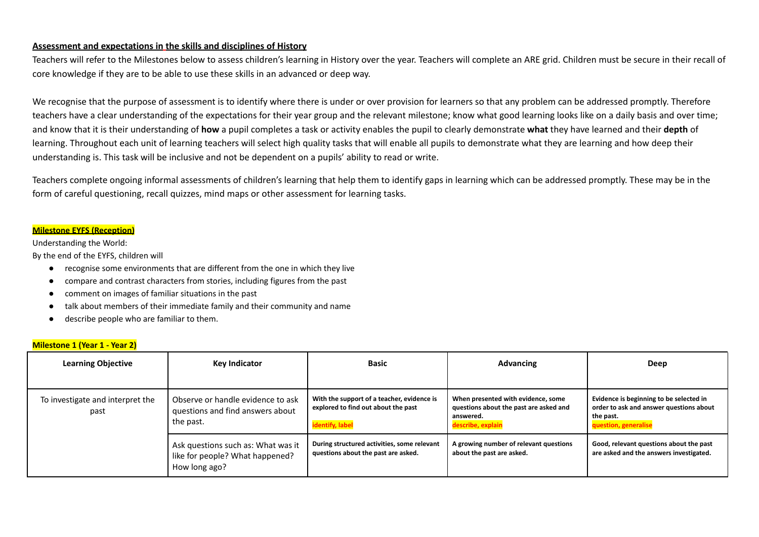### **Assessment and expectations in the skills and disciplines of History**

Teachers will refer to the Milestones below to assess children's learning in History over the year. Teachers will complete an ARE grid. Children must be secure in their recall of core knowledge if they are to be able to use these skills in an advanced or deep way.

We recognise that the purpose of assessment is to identify where there is under or over provision for learners so that any problem can be addressed promptly. Therefore teachers have a clear understanding of the expectations for their year group and the relevant milestone; know what good learning looks like on a daily basis and over time; and know that it is their understanding of **how** a pupil completes a task or activity enables the pupil to clearly demonstrate **what** they have learned and their **depth** of learning. Throughout each unit of learning teachers will select high quality tasks that will enable all pupils to demonstrate what they are learning and how deep their understanding is. This task will be inclusive and not be dependent on a pupils' ability to read or write.

Teachers complete ongoing informal assessments of children's learning that help them to identify gaps in learning which can be addressed promptly. These may be in the form of careful questioning, recall quizzes, mind maps or other assessment for learning tasks.

### **Milestone EYFS (Reception)**

Understanding the World:

By the end of the EYFS, children will

- recognise some environments that are different from the one in which they live
- compare and contrast characters from stories, including figures from the past
- comment on images of familiar situations in the past
- talk about members of their immediate family and their community and name
- describe people who are familiar to them.

### **Milestone 1 (Year 1 - Year 2)**

| <b>Learning Objective</b>                | Key Indicator                                                                          | <b>Basic</b>                                                                                         | <b>Advancing</b>                                                                                               | Deep                                                                                                                    |
|------------------------------------------|----------------------------------------------------------------------------------------|------------------------------------------------------------------------------------------------------|----------------------------------------------------------------------------------------------------------------|-------------------------------------------------------------------------------------------------------------------------|
| To investigate and interpret the<br>past | Observe or handle evidence to ask<br>questions and find answers about<br>the past.     | With the support of a teacher, evidence is<br>explored to find out about the past<br>identify, label | When presented with evidence, some<br>questions about the past are asked and<br>answered.<br>describe, explain | Evidence is beginning to be selected in<br>order to ask and answer questions about<br>the past.<br>question, generalise |
|                                          | Ask questions such as: What was it<br>like for people? What happened?<br>How long ago? | During structured activities, some relevant<br>questions about the past are asked.                   | A growing number of relevant questions<br>about the past are asked.                                            | Good, relevant questions about the past<br>are asked and the answers investigated.                                      |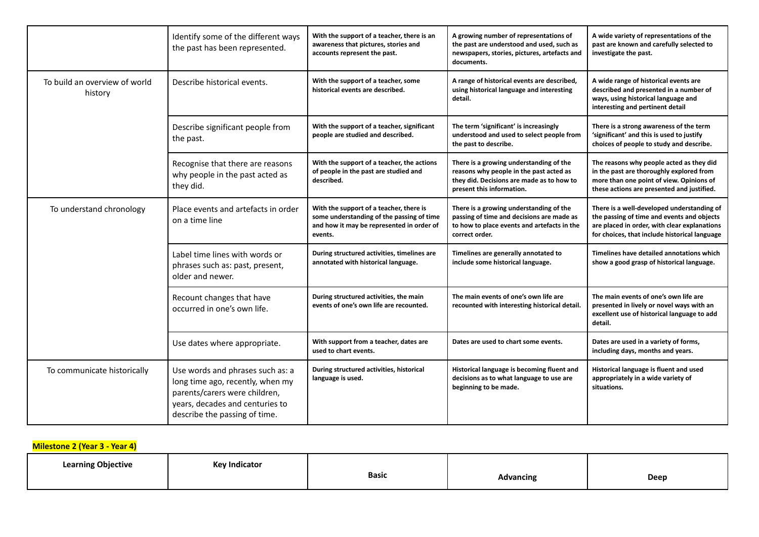|                                          | Identify some of the different ways<br>the past has been represented.                                                                                                     | With the support of a teacher, there is an<br>awareness that pictures, stories and<br>accounts represent the past.                           | A growing number of representations of<br>the past are understood and used, such as<br>newspapers, stories, pictures, artefacts and<br>documents.            | A wide variety of representations of the<br>past are known and carefully selected to<br>investigate the past.                                                                             |
|------------------------------------------|---------------------------------------------------------------------------------------------------------------------------------------------------------------------------|----------------------------------------------------------------------------------------------------------------------------------------------|--------------------------------------------------------------------------------------------------------------------------------------------------------------|-------------------------------------------------------------------------------------------------------------------------------------------------------------------------------------------|
| To build an overview of world<br>history | Describe historical events.                                                                                                                                               | With the support of a teacher, some<br>historical events are described.                                                                      | A range of historical events are described,<br>using historical language and interesting<br>detail.                                                          | A wide range of historical events are<br>described and presented in a number of<br>ways, using historical language and<br>interesting and pertinent detail                                |
|                                          | Describe significant people from<br>the past.                                                                                                                             | With the support of a teacher, significant<br>people are studied and described.                                                              | The term 'significant' is increasingly<br>understood and used to select people from<br>the past to describe.                                                 | There is a strong awareness of the term<br>'significant' and this is used to justify<br>choices of people to study and describe.                                                          |
|                                          | Recognise that there are reasons<br>why people in the past acted as<br>they did.                                                                                          | With the support of a teacher, the actions<br>of people in the past are studied and<br>described.                                            | There is a growing understanding of the<br>reasons why people in the past acted as<br>they did. Decisions are made as to how to<br>present this information. | The reasons why people acted as they did<br>in the past are thoroughly explored from<br>more than one point of view. Opinions of<br>these actions are presented and justified.            |
| To understand chronology                 | Place events and artefacts in order<br>on a time line                                                                                                                     | With the support of a teacher, there is<br>some understanding of the passing of time<br>and how it may be represented in order of<br>events. | There is a growing understanding of the<br>passing of time and decisions are made as<br>to how to place events and artefacts in the<br>correct order.        | There is a well-developed understanding of<br>the passing of time and events and objects<br>are placed in order, with clear explanations<br>for choices, that include historical language |
|                                          | Label time lines with words or<br>phrases such as: past, present,<br>older and newer.                                                                                     | During structured activities, timelines are<br>annotated with historical language.                                                           | Timelines are generally annotated to<br>include some historical language.                                                                                    | Timelines have detailed annotations which<br>show a good grasp of historical language.                                                                                                    |
|                                          | Recount changes that have<br>occurred in one's own life.                                                                                                                  | During structured activities, the main<br>events of one's own life are recounted.                                                            | The main events of one's own life are<br>recounted with interesting historical detail.                                                                       | The main events of one's own life are<br>presented in lively or novel ways with an<br>excellent use of historical language to add<br>detail.                                              |
|                                          | Use dates where appropriate.                                                                                                                                              | With support from a teacher, dates are<br>used to chart events.                                                                              | Dates are used to chart some events.                                                                                                                         | Dates are used in a variety of forms,<br>including days, months and years.                                                                                                                |
| To communicate historically              | Use words and phrases such as: a<br>long time ago, recently, when my<br>parents/carers were children,<br>years, decades and centuries to<br>describe the passing of time. | During structured activities, historical<br>language is used.                                                                                | Historical language is becoming fluent and<br>decisions as to what language to use are<br>beginning to be made.                                              | Historical language is fluent and used<br>appropriately in a wide variety of<br>situations.                                                                                               |

## **Milestone 2 (Year 3 - Year 4)**

| <b>Learning Objective</b> | <b>Kev Indicator</b><br>. |       |           |      |
|---------------------------|---------------------------|-------|-----------|------|
|                           |                           | Basic | Advancing | Deep |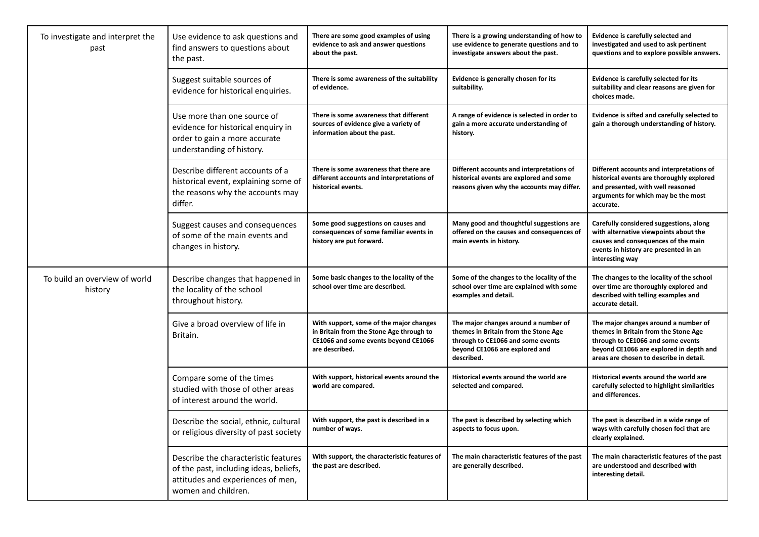| To investigate and interpret the<br>past | Use evidence to ask questions and<br>find answers to questions about<br>the past.                                                          | There are some good examples of using<br>evidence to ask and answer questions<br>about the past.                                              | There is a growing understanding of how to<br>use evidence to generate questions and to<br>investigate answers about the past.                                    | Evidence is carefully selected and<br>investigated and used to ask pertinent<br>questions and to explore possible answers.                                                                              |
|------------------------------------------|--------------------------------------------------------------------------------------------------------------------------------------------|-----------------------------------------------------------------------------------------------------------------------------------------------|-------------------------------------------------------------------------------------------------------------------------------------------------------------------|---------------------------------------------------------------------------------------------------------------------------------------------------------------------------------------------------------|
|                                          | Suggest suitable sources of<br>evidence for historical enquiries.                                                                          | There is some awareness of the suitability<br>of evidence.                                                                                    | Evidence is generally chosen for its<br>suitability.                                                                                                              | Evidence is carefully selected for its<br>suitability and clear reasons are given for<br>choices made.                                                                                                  |
|                                          | Use more than one source of<br>evidence for historical enquiry in<br>order to gain a more accurate<br>understanding of history.            | There is some awareness that different<br>sources of evidence give a variety of<br>information about the past.                                | A range of evidence is selected in order to<br>gain a more accurate understanding of<br>history.                                                                  | Evidence is sifted and carefully selected to<br>gain a thorough understanding of history.                                                                                                               |
|                                          | Describe different accounts of a<br>historical event, explaining some of<br>the reasons why the accounts may<br>differ.                    | There is some awareness that there are<br>different accounts and interpretations of<br>historical events.                                     | Different accounts and interpretations of<br>historical events are explored and some<br>reasons given why the accounts may differ.                                | Different accounts and interpretations of<br>historical events are thoroughly explored<br>and presented, with well reasoned<br>arguments for which may be the most<br>accurate.                         |
|                                          | Suggest causes and consequences<br>of some of the main events and<br>changes in history.                                                   | Some good suggestions on causes and<br>consequences of some familiar events in<br>history are put forward.                                    | Many good and thoughtful suggestions are<br>offered on the causes and consequences of<br>main events in history.                                                  | Carefully considered suggestions, along<br>with alternative viewpoints about the<br>causes and consequences of the main<br>events in history are presented in an<br>interesting way                     |
| To build an overview of world<br>history | Describe changes that happened in<br>the locality of the school<br>throughout history.                                                     | Some basic changes to the locality of the<br>school over time are described.                                                                  | Some of the changes to the locality of the<br>school over time are explained with some<br>examples and detail.                                                    | The changes to the locality of the school<br>over time are thoroughly explored and<br>described with telling examples and<br>accurate detail.                                                           |
|                                          | Give a broad overview of life in<br>Britain.                                                                                               | With support, some of the major changes<br>in Britain from the Stone Age through to<br>CE1066 and some events beyond CE1066<br>are described. | The major changes around a number of<br>themes in Britain from the Stone Age<br>through to CE1066 and some events<br>beyond CE1066 are explored and<br>described. | The major changes around a number of<br>themes in Britain from the Stone Age<br>through to CE1066 and some events<br>beyond CE1066 are explored in depth and<br>areas are chosen to describe in detail. |
|                                          | Compare some of the times<br>studied with those of other areas<br>of interest around the world.                                            | With support, historical events around the<br>world are compared.                                                                             | Historical events around the world are<br>selected and compared.                                                                                                  | Historical events around the world are<br>carefully selected to highlight similarities<br>and differences.                                                                                              |
|                                          | Describe the social, ethnic, cultural<br>or religious diversity of past society                                                            | With support, the past is described in a<br>number of ways.                                                                                   | The past is described by selecting which<br>aspects to focus upon.                                                                                                | The past is described in a wide range of<br>ways with carefully chosen foci that are<br>clearly explained.                                                                                              |
|                                          | Describe the characteristic features<br>of the past, including ideas, beliefs,<br>attitudes and experiences of men,<br>women and children. | With support, the characteristic features of<br>the past are described.                                                                       | The main characteristic features of the past<br>are generally described.                                                                                          | The main characteristic features of the past<br>are understood and described with<br>interesting detail.                                                                                                |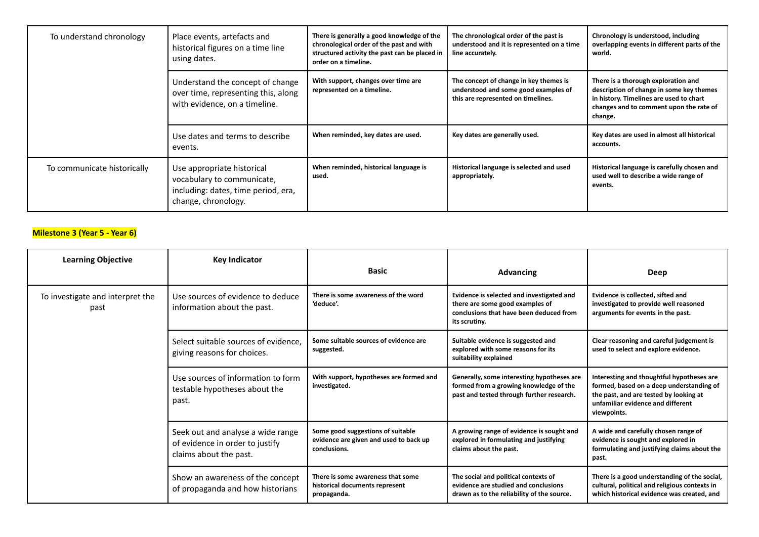| To understand chronology    | Place events, artefacts and<br>historical figures on a time line<br>using dates.                                       | There is generally a good knowledge of the<br>chronological order of the past and with<br>structured activity the past can be placed in<br>order on a timeline. | The chronological order of the past is<br>understood and it is represented on a time<br>line accurately.             | Chronology is understood, including<br>overlapping events in different parts of the<br>world.                                                                                    |
|-----------------------------|------------------------------------------------------------------------------------------------------------------------|-----------------------------------------------------------------------------------------------------------------------------------------------------------------|----------------------------------------------------------------------------------------------------------------------|----------------------------------------------------------------------------------------------------------------------------------------------------------------------------------|
|                             | Understand the concept of change<br>over time, representing this, along<br>with evidence, on a timeline.               | With support, changes over time are<br>represented on a timeline.                                                                                               | The concept of change in key themes is<br>understood and some good examples of<br>this are represented on timelines. | There is a thorough exploration and<br>description of change in some key themes<br>in history. Timelines are used to chart<br>changes and to comment upon the rate of<br>change. |
|                             | Use dates and terms to describe<br>events.                                                                             | When reminded, key dates are used.                                                                                                                              | Key dates are generally used.                                                                                        | Key dates are used in almost all historical<br>accounts.                                                                                                                         |
| To communicate historically | Use appropriate historical<br>vocabulary to communicate,<br>including: dates, time period, era,<br>change, chronology. | When reminded, historical language is<br>used.                                                                                                                  | Historical language is selected and used<br>appropriately.                                                           | Historical language is carefully chosen and<br>used well to describe a wide range of<br>events.                                                                                  |

# **Milestone 3 (Year 5 - Year 6)**

| <b>Learning Objective</b>                | <b>Key Indicator</b>                                                                           | <b>Basic</b>                                                                                | <b>Advancing</b>                                                                                                                         | Deep                                                                                                                                                                                |
|------------------------------------------|------------------------------------------------------------------------------------------------|---------------------------------------------------------------------------------------------|------------------------------------------------------------------------------------------------------------------------------------------|-------------------------------------------------------------------------------------------------------------------------------------------------------------------------------------|
| To investigate and interpret the<br>past | Use sources of evidence to deduce<br>information about the past.                               | There is some awareness of the word<br>'deduce'.                                            | Evidence is selected and investigated and<br>there are some good examples of<br>conclusions that have been deduced from<br>its scrutiny. | Evidence is collected, sifted and<br>investigated to provide well reasoned<br>arguments for events in the past.                                                                     |
|                                          | Select suitable sources of evidence.<br>giving reasons for choices.                            | Some suitable sources of evidence are<br>suggested.                                         | Suitable evidence is suggested and<br>explored with some reasons for its<br>suitability explained                                        | Clear reasoning and careful judgement is<br>used to select and explore evidence.                                                                                                    |
|                                          | Use sources of information to form<br>testable hypotheses about the<br>past.                   | With support, hypotheses are formed and<br>investigated.                                    | Generally, some interesting hypotheses are<br>formed from a growing knowledge of the<br>past and tested through further research.        | Interesting and thoughtful hypotheses are<br>formed, based on a deep understanding of<br>the past, and are tested by looking at<br>unfamiliar evidence and different<br>viewpoints. |
|                                          | Seek out and analyse a wide range<br>of evidence in order to justify<br>claims about the past. | Some good suggestions of suitable<br>evidence are given and used to back up<br>conclusions. | A growing range of evidence is sought and<br>explored in formulating and justifying<br>claims about the past.                            | A wide and carefully chosen range of<br>evidence is sought and explored in<br>formulating and justifying claims about the<br>past.                                                  |
|                                          | Show an awareness of the concept<br>of propaganda and how historians                           | There is some awareness that some<br>historical documents represent<br>propaganda.          | The social and political contexts of<br>evidence are studied and conclusions<br>drawn as to the reliability of the source.               | There is a good understanding of the social,<br>cultural, political and religious contexts in<br>which historical evidence was created, and                                         |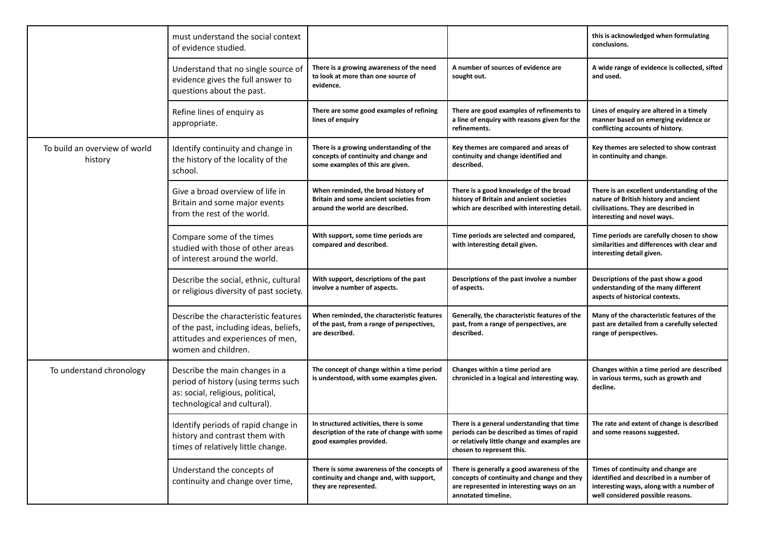|                                          | must understand the social context<br>of evidence studied.                                                                                 |                                                                                                                      |                                                                                                                                                                       | this is acknowledged when formulating<br>conclusions.                                                                                                          |
|------------------------------------------|--------------------------------------------------------------------------------------------------------------------------------------------|----------------------------------------------------------------------------------------------------------------------|-----------------------------------------------------------------------------------------------------------------------------------------------------------------------|----------------------------------------------------------------------------------------------------------------------------------------------------------------|
|                                          | Understand that no single source of<br>evidence gives the full answer to<br>questions about the past.                                      | There is a growing awareness of the need<br>to look at more than one source of<br>evidence.                          | A number of sources of evidence are<br>sought out.                                                                                                                    | A wide range of evidence is collected, sifted<br>and used.                                                                                                     |
|                                          | Refine lines of enquiry as<br>appropriate.                                                                                                 | There are some good examples of refining<br>lines of enquiry                                                         | There are good examples of refinements to<br>a line of enquiry with reasons given for the<br>refinements.                                                             | Lines of enquiry are altered in a timely<br>manner based on emerging evidence or<br>conflicting accounts of history.                                           |
| To build an overview of world<br>history | Identify continuity and change in<br>the history of the locality of the<br>school.                                                         | There is a growing understanding of the<br>concepts of continuity and change and<br>some examples of this are given. | Key themes are compared and areas of<br>continuity and change identified and<br>described.                                                                            | Key themes are selected to show contrast<br>in continuity and change.                                                                                          |
|                                          | Give a broad overview of life in<br>Britain and some major events<br>from the rest of the world.                                           | When reminded, the broad history of<br>Britain and some ancient societies from<br>around the world are described.    | There is a good knowledge of the broad<br>history of Britain and ancient societies<br>which are described with interesting detail.                                    | There is an excellent understanding of the<br>nature of British history and ancient<br>civilisations. They are described in<br>interesting and novel ways.     |
|                                          | Compare some of the times<br>studied with those of other areas<br>of interest around the world.                                            | With support, some time periods are<br>compared and described.                                                       | Time periods are selected and compared,<br>with interesting detail given.                                                                                             | Time periods are carefully chosen to show<br>similarities and differences with clear and<br>interesting detail given.                                          |
|                                          | Describe the social, ethnic, cultural<br>or religious diversity of past society.                                                           | With support, descriptions of the past<br>involve a number of aspects.                                               | Descriptions of the past involve a number<br>of aspects.                                                                                                              | Descriptions of the past show a good<br>understanding of the many different<br>aspects of historical contexts.                                                 |
|                                          | Describe the characteristic features<br>of the past, including ideas, beliefs,<br>attitudes and experiences of men,<br>women and children. | When reminded, the characteristic features<br>of the past, from a range of perspectives,<br>are described.           | Generally, the characteristic features of the<br>past, from a range of perspectives, are<br>described.                                                                | Many of the characteristic features of the<br>past are detailed from a carefully selected<br>range of perspectives.                                            |
| To understand chronology                 | Describe the main changes in a<br>period of history (using terms such<br>as: social, religious, political,<br>technological and cultural). | The concept of change within a time period<br>is understood, with some examples given.                               | Changes within a time period are<br>chronicled in a logical and interesting way.                                                                                      | Changes within a time period are described<br>in various terms, such as growth and<br>decline.                                                                 |
|                                          | Identify periods of rapid change in<br>history and contrast them with<br>times of relatively little change.                                | In structured activities, there is some<br>description of the rate of change with some<br>good examples provided.    | There is a general understanding that time<br>periods can be described as times of rapid<br>or relatively little change and examples are<br>chosen to represent this. | The rate and extent of change is described<br>and some reasons suggested.                                                                                      |
|                                          | Understand the concepts of<br>continuity and change over time,                                                                             | There is some awareness of the concepts of<br>continuity and change and, with support,<br>they are represented.      | There is generally a good awareness of the<br>concepts of continuity and change and they<br>are represented in interesting ways on an<br>annotated timeline.          | Times of continuity and change are<br>identified and described in a number of<br>interesting ways, along with a number of<br>well considered possible reasons. |